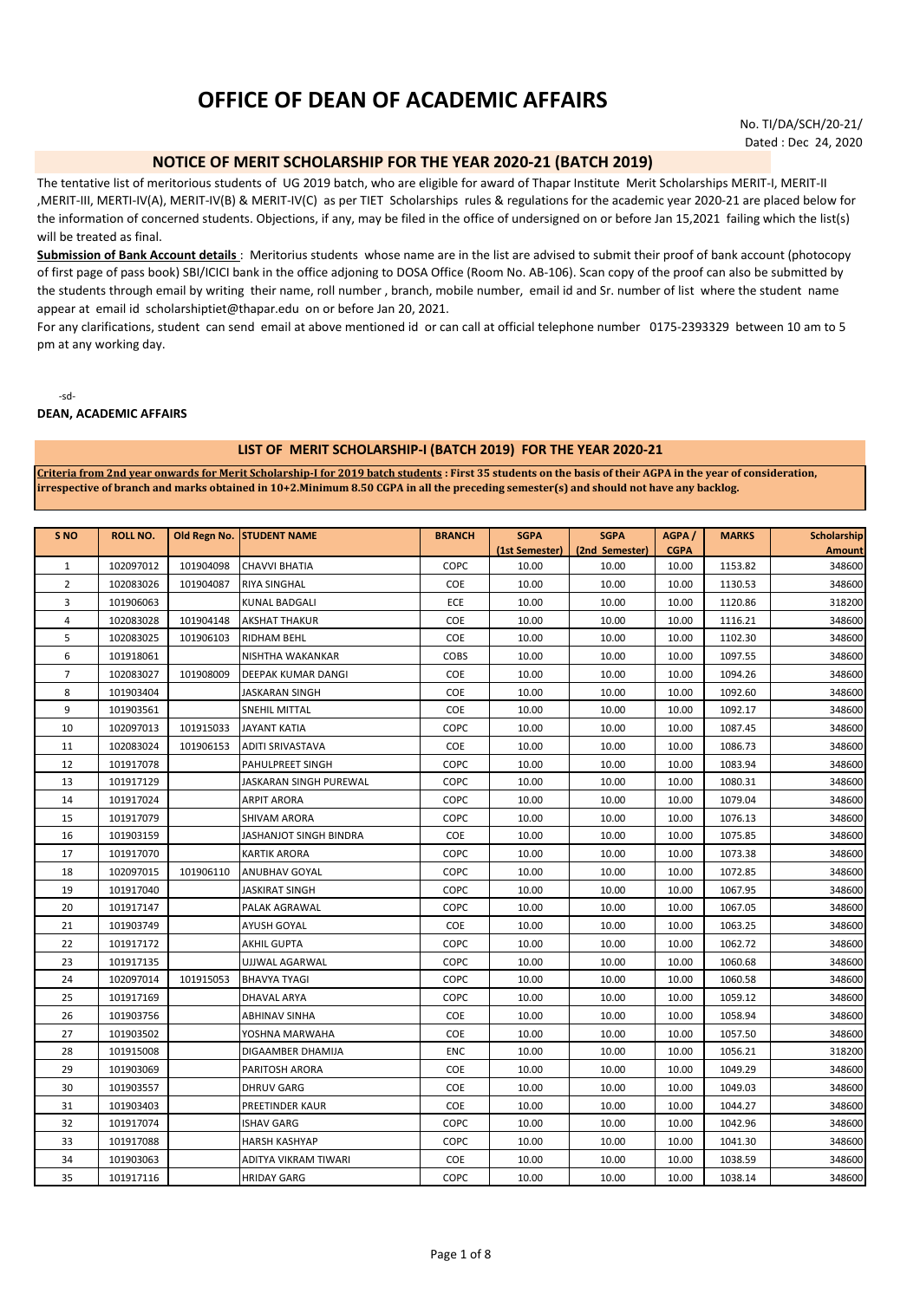# **OFFICE OF DEAN OF ACADEMIC AFFAIRS**

No. TI/DA/SCH/20-21/ Dated : Dec 24, 2020

# **NOTICE OF MERIT SCHOLARSHIP FOR THE YEAR 2020-21 (BATCH 2019)**

The tentative list of meritorious students of UG 2019 batch, who are eligible for award of Thapar Institute Merit Scholarships MERIT-I, MERIT-II ,MERIT-III, MERTI-IV(A), MERIT-IV(B) & MERIT-IV(C) as per TIET Scholarships rules & regulations for the academic year 2020-21 are placed below for the information of concerned students. Objections, if any, may be filed in the office of undersigned on or before Jan 15,2021 failing which the list(s) will be treated as final.

**Submission of Bank Account details** : Meritorius students whose name are in the list are advised to submit their proof of bank account (photocopy of first page of pass book) SBI/ICICI bank in the office adjoning to DOSA Office (Room No. AB-106). Scan copy of the proof can also be submitted by the students through email by writing their name, roll number , branch, mobile number, email id and Sr. number of list where the student name appear at email id scholarshiptiet@thapar.edu on or before Jan 20, 2021.

For any clarifications, student can send email at above mentioned id or can call at official telephone number 0175-2393329 between 10 am to 5 pm at any working day.

-sd-

# **DEAN, ACADEMIC AFFAIRS**

### **LIST OF MERIT SCHOLARSHIP-I (BATCH 2019) FOR THE YEAR 2020-21**

**Criteria from 2nd year onwards for Merit Scholarship-I for 2019 batch students : First 35 students on the basis of their AGPA in the year of consideration, irrespective of branch and marks obtained in 10+2.Minimum 8.50 CGPA in all the preceding semester(s) and should not have any backlog.**

| S <sub>NO</sub> | <b>ROLL NO.</b> | Old Regn No. | <b>STUDENT NAME</b>       | <b>BRANCH</b> | <b>SGPA</b>    | <b>SGPA</b>    | AGPA/       | <b>MARKS</b> | <b>Scholarship</b> |
|-----------------|-----------------|--------------|---------------------------|---------------|----------------|----------------|-------------|--------------|--------------------|
|                 |                 |              |                           |               | (1st Semester) | (2nd Semester) | <b>CGPA</b> |              | <b>Amount</b>      |
| 1               | 102097012       | 101904098    | <b>CHAVVI BHATIA</b>      | COPC          | 10.00          | 10.00          | 10.00       | 1153.82      | 348600             |
| $\overline{2}$  | 102083026       | 101904087    | <b>RIYA SINGHAL</b>       | COE           | 10.00          | 10.00          | 10.00       | 1130.53      | 348600             |
| 3               | 101906063       |              | KUNAL BADGALI             | ECE           | 10.00          | 10.00          | 10.00       | 1120.86      | 318200             |
| 4               | 102083028       | 101904148    | AKSHAT THAKUR             | COE           | 10.00          | 10.00          | 10.00       | 1116.21      | 348600             |
| 5               | 102083025       | 101906103    | RIDHAM BEHL               | COE           | 10.00          | 10.00          | 10.00       | 1102.30      | 348600             |
| 6               | 101918061       |              | NISHTHA WAKANKAR          | COBS          | 10.00          | 10.00          | 10.00       | 1097.55      | 348600             |
| 7               | 102083027       | 101908009    | <b>DEEPAK KUMAR DANGI</b> | COE           | 10.00          | 10.00          | 10.00       | 1094.26      | 348600             |
| 8               | 101903404       |              | JASKARAN SINGH            | COE           | 10.00          | 10.00          | 10.00       | 1092.60      | 348600             |
| 9               | 101903561       |              | SNEHIL MITTAL             | COE           | 10.00          | 10.00          | 10.00       | 1092.17      | 348600             |
| 10              | 102097013       | 101915033    | JAYANT KATIA              | COPC          | 10.00          | 10.00          | 10.00       | 1087.45      | 348600             |
| 11              | 102083024       | 101906153    | ADITI SRIVASTAVA          | COE           | 10.00          | 10.00          | 10.00       | 1086.73      | 348600             |
| 12              | 101917078       |              | PAHULPREET SINGH          | COPC          | 10.00          | 10.00          | 10.00       | 1083.94      | 348600             |
| 13              | 101917129       |              | JASKARAN SINGH PUREWAL    | COPC          | 10.00          | 10.00          | 10.00       | 1080.31      | 348600             |
| 14              | 101917024       |              | ARPIT ARORA               | COPC          | 10.00          | 10.00          | 10.00       | 1079.04      | 348600             |
| 15              | 101917079       |              | SHIVAM ARORA              | COPC          | 10.00          | 10.00          | 10.00       | 1076.13      | 348600             |
| 16              | 101903159       |              | JASHANJOT SINGH BINDRA    | COE           | 10.00          | 10.00          | 10.00       | 1075.85      | 348600             |
| 17              | 101917070       |              | KARTIK ARORA              | COPC          | 10.00          | 10.00          | 10.00       | 1073.38      | 348600             |
| 18              | 102097015       | 101906110    | <b>ANUBHAV GOYAL</b>      | COPC          | 10.00          | 10.00          | 10.00       | 1072.85      | 348600             |
| 19              | 101917040       |              | JASKIRAT SINGH            | COPC          | 10.00          | 10.00          | 10.00       | 1067.95      | 348600             |
| 20              | 101917147       |              | PALAK AGRAWAL             | COPC          | 10.00          | 10.00          | 10.00       | 1067.05      | 348600             |
| 21              | 101903749       |              | AYUSH GOYAL               | COE           | 10.00          | 10.00          | 10.00       | 1063.25      | 348600             |
| 22              | 101917172       |              | AKHIL GUPTA               | COPC          | 10.00          | 10.00          | 10.00       | 1062.72      | 348600             |
| 23              | 101917135       |              | UJJWAL AGARWAL            | COPC          | 10.00          | 10.00          | 10.00       | 1060.68      | 348600             |
| 24              | 102097014       | 101915053    | <b>BHAVYA TYAGI</b>       | COPC          | 10.00          | 10.00          | 10.00       | 1060.58      | 348600             |
| 25              | 101917169       |              | DHAVAL ARYA               | COPC          | 10.00          | 10.00          | 10.00       | 1059.12      | 348600             |
| 26              | 101903756       |              | ABHINAV SINHA             | COE           | 10.00          | 10.00          | 10.00       | 1058.94      | 348600             |
| 27              | 101903502       |              | YOSHNA MARWAHA            | COE           | 10.00          | 10.00          | 10.00       | 1057.50      | 348600             |
| 28              | 101915008       |              | DIGAAMBER DHAMIJA         | <b>ENC</b>    | 10.00          | 10.00          | 10.00       | 1056.21      | 318200             |
| 29              | 101903069       |              | PARITOSH ARORA            | COE           | 10.00          | 10.00          | 10.00       | 1049.29      | 348600             |
| 30              | 101903557       |              | <b>DHRUV GARG</b>         | COE           | 10.00          | 10.00          | 10.00       | 1049.03      | 348600             |
| 31              | 101903403       |              | PREETINDER KAUR           | COE           | 10.00          | 10.00          | 10.00       | 1044.27      | 348600             |
| 32              | 101917074       |              | <b>ISHAV GARG</b>         | COPC          | 10.00          | 10.00          | 10.00       | 1042.96      | 348600             |
| 33              | 101917088       |              | HARSH KASHYAP             | COPC          | 10.00          | 10.00          | 10.00       | 1041.30      | 348600             |
| 34              | 101903063       |              | ADITYA VIKRAM TIWARI      | COE           | 10.00          | 10.00          | 10.00       | 1038.59      | 348600             |
| 35              | 101917116       |              | <b>HRIDAY GARG</b>        | COPC          | 10.00          | 10.00          | 10.00       | 1038.14      | 348600             |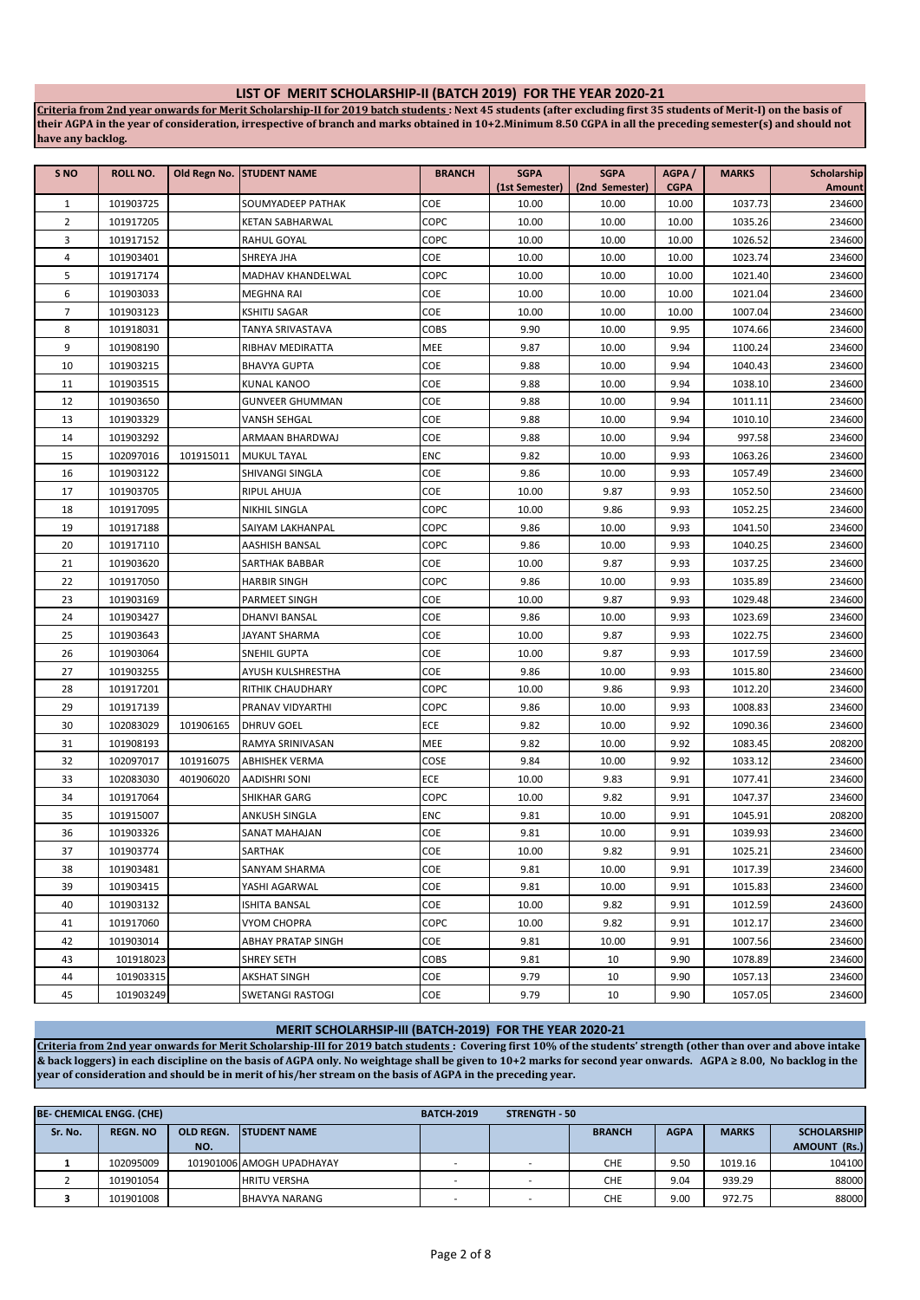# **LIST OF MERIT SCHOLARSHIP-II (BATCH 2019) FOR THE YEAR 2020-21**

**Criteria from 2nd year onwards for Merit Scholarship-II for 2019 batch students : Next 45 students (after excluding first 35 students of Merit-I) on the basis of their AGPA in the year of consideration, irrespective of branch and marks obtained in 10+2.Minimum 8.50 CGPA in all the preceding semester(s) and should not have any backlog.**

| S <sub>NO</sub>                | <b>ROLL NO.</b>        |           | Old Regn No. STUDENT NAME      | <b>BRANCH</b> | <b>SGPA</b>    | <b>SGPA</b>    | AGPA/          | <b>MARKS</b>       | Scholarship      |
|--------------------------------|------------------------|-----------|--------------------------------|---------------|----------------|----------------|----------------|--------------------|------------------|
|                                |                        |           |                                | COE           | (1st Semester) | (2nd Semester) | <b>CGPA</b>    | 1037.73            | Amount           |
| $\mathbf{1}$<br>$\overline{2}$ | 101903725              |           | SOUMYADEEP PATHAK              | COPC          | 10.00<br>10.00 | 10.00          | 10.00          |                    | 234600<br>234600 |
| 3                              | 101917205<br>101917152 |           | KETAN SABHARWAL<br>RAHUL GOYAL | COPC          | 10.00          | 10.00<br>10.00 | 10.00<br>10.00 | 1035.26<br>1026.52 | 234600           |
| 4                              | 101903401              |           | SHREYA JHA                     | COE           | 10.00          | 10.00          | 10.00          | 1023.74            | 234600           |
| 5                              | 101917174              |           | MADHAV KHANDELWAL              | COPC          | 10.00          | 10.00          | 10.00          | 1021.40            | 234600           |
| 6                              | 101903033              |           | MEGHNA RAI                     | COE           | 10.00          | 10.00          | 10.00          | 1021.04            | 234600           |
| 7                              | 101903123              |           | <b>KSHITIJ SAGAR</b>           | COE           | 10.00          | 10.00          | 10.00          | 1007.04            | 234600           |
| 8                              | 101918031              |           | TANYA SRIVASTAVA               | COBS          | 9.90           | 10.00          | 9.95           | 1074.66            | 234600           |
| 9                              | 101908190              |           | RIBHAV MEDIRATTA               | MEE           | 9.87           | 10.00          | 9.94           | 1100.24            | 234600           |
| 10                             | 101903215              |           | <b>BHAVYA GUPTA</b>            | COE           | 9.88           | 10.00          | 9.94           | 1040.43            | 234600           |
| 11                             | 101903515              |           | KUNAL KANOO                    | COE           | 9.88           | 10.00          | 9.94           | 1038.10            | 234600           |
| 12                             | 101903650              |           | GUNVEER GHUMMAN                | COE           | 9.88           | 10.00          | 9.94           | 1011.11            | 234600           |
| 13                             | 101903329              |           | VANSH SEHGAL                   | COE           | 9.88           | 10.00          | 9.94           | 1010.10            | 234600           |
| 14                             | 101903292              |           | ARMAAN BHARDWAJ                | COE           | 9.88           | 10.00          | 9.94           | 997.58             | 234600           |
| 15                             | 102097016              | 101915011 | <b>MUKUL TAYAL</b>             | <b>ENC</b>    | 9.82           | 10.00          | 9.93           | 1063.26            | 234600           |
| 16                             | 101903122              |           | SHIVANGI SINGLA                | COE           | 9.86           | 10.00          | 9.93           | 1057.49            | 234600           |
| 17                             | 101903705              |           | <b>RIPUL AHUJA</b>             | COE           | 10.00          | 9.87           | 9.93           | 1052.50            | 234600           |
| 18                             | 101917095              |           | NIKHIL SINGLA                  | COPC          | 10.00          | 9.86           | 9.93           | 1052.25            | 234600           |
| 19                             | 101917188              |           | SAIYAM LAKHANPAL               | COPC          | 9.86           | 10.00          | 9.93           | 1041.50            | 234600           |
| 20                             | 101917110              |           | AASHISH BANSAL                 | COPC          | 9.86           | 10.00          | 9.93           | 1040.25            | 234600           |
| 21                             | 101903620              |           | SARTHAK BABBAR                 | COE           | 10.00          | 9.87           | 9.93           | 1037.25            | 234600           |
| 22                             | 101917050              |           | <b>HARBIR SINGH</b>            | COPC          | 9.86           | 10.00          | 9.93           | 1035.89            | 234600           |
| 23                             | 101903169              |           | PARMEET SINGH                  | COE           | 10.00          | 9.87           | 9.93           | 1029.48            | 234600           |
| 24                             | 101903427              |           | DHANVI BANSAL                  | COE           | 9.86           | 10.00          | 9.93           | 1023.69            | 234600           |
| 25                             | 101903643              |           | JAYANT SHARMA                  | COE           | 10.00          | 9.87           | 9.93           | 1022.75            | 234600           |
| 26                             | 101903064              |           | SNEHIL GUPTA                   | COE           | 10.00          | 9.87           | 9.93           | 1017.59            | 234600           |
| 27                             | 101903255              |           | AYUSH KULSHRESTHA              | COE           | 9.86           | 10.00          | 9.93           | 1015.80            | 234600           |
| 28                             | 101917201              |           | RITHIK CHAUDHARY               | COPC          | 10.00          | 9.86           | 9.93           | 1012.20            | 234600           |
| 29                             | 101917139              |           | PRANAV VIDYARTHI               | COPC          | 9.86           | 10.00          | 9.93           | 1008.83            | 234600           |
| 30                             | 102083029              | 101906165 | <b>DHRUV GOEL</b>              | ECE           | 9.82           | 10.00          | 9.92           | 1090.36            | 234600           |
| 31                             | 101908193              |           | RAMYA SRINIVASAN               | MEE           | 9.82           | 10.00          | 9.92           | 1083.45            | 208200           |
| 32                             | 102097017              | 101916075 | <b>ABHISHEK VERMA</b>          | COSE          | 9.84           | 10.00          | 9.92           | 1033.12            | 234600           |
| 33                             | 102083030              | 401906020 | <b>AADISHRI SONI</b>           | ECE           | 10.00          | 9.83           | 9.91           | 1077.41            | 234600           |
| 34                             | 101917064              |           | SHIKHAR GARG                   | COPC          | 10.00          | 9.82           | 9.91           | 1047.37            | 234600           |
| 35                             | 101915007              |           | ANKUSH SINGLA                  | <b>ENC</b>    | 9.81           | 10.00          | 9.91           | 1045.91            | 208200           |
| 36                             | 101903326              |           | SANAT MAHAJAN                  | COE           | 9.81           | 10.00          | 9.91           | 1039.93            | 234600           |
| 37                             | 101903774              |           | SARTHAK                        | COE           | 10.00          | 9.82           | 9.91           | 1025.21            | 234600           |
| 38                             | 101903481              |           | SANYAM SHARMA                  | COE           | 9.81           | 10.00          | 9.91           | 1017.39            | 234600           |
| 39                             | 101903415              |           | YASHI AGARWAL                  | COE           | 9.81           | 10.00          | 9.91           | 1015.83            | 234600           |
| 40                             | 101903132              |           | ISHITA BANSAL                  | COE           | 10.00          | 9.82           | 9.91           | 1012.59            | 243600           |
| 41                             | 101917060              |           | VYOM CHOPRA                    | COPC          | 10.00          | 9.82           | 9.91           | 1012.17            | 234600           |
| 42                             | 101903014              |           | ABHAY PRATAP SINGH             | COE           | 9.81           | 10.00          | 9.91           | 1007.56            | 234600           |
| 43                             | 101918023              |           | SHREY SETH                     | COBS          | 9.81           | 10             | 9.90           | 1078.89            | 234600           |
| 44                             | 101903315              |           | AKSHAT SINGH                   | COE           | 9.79           | 10             | 9.90           | 1057.13            | 234600           |
| 45                             | 101903249              |           | SWETANGI RASTOGI               | COE           | 9.79           | 10             | 9.90           | 1057.05            | 234600           |

## **MERIT SCHOLARHSIP-III (BATCH-2019) FOR THE YEAR 2020-21**

**Criteria from 2nd year onwards for Merit Scholarship-III for 2019 batch students : Covering first 10% of the students' strength (other than over and above intake & back loggers) in each discipline on the basis of AGPA only. No weightage shall be given to 10+2 marks for second year onwards. AGPA ≥ 8.00, No backlog in the year of consideration and should be in merit of his/her stream on the basis of AGPA in the preceding year.**

|         | <b>BE- CHEMICAL ENGG. (CHE)</b> |                  |                           | <b>BATCH-2019</b> | <b>STRENGTH - 50</b> |               |             |              |                     |
|---------|---------------------------------|------------------|---------------------------|-------------------|----------------------|---------------|-------------|--------------|---------------------|
| Sr. No. | <b>REGN. NO</b>                 | <b>OLD REGN.</b> | <b>ISTUDENT NAME</b>      |                   |                      | <b>BRANCH</b> | <b>AGPA</b> | <b>MARKS</b> | <b>SCHOLARSHIP</b>  |
|         |                                 | NO.              |                           |                   |                      |               |             |              | <b>AMOUNT (Rs.)</b> |
|         | 102095009                       |                  | 101901006 AMOGH UPADHAYAY |                   |                      | <b>CHE</b>    | 9.50        | 1019.16      | 104100              |
|         | 101901054                       |                  | <b>HRITU VERSHA</b>       |                   |                      | <b>CHE</b>    | 9.04        | 939.29       | 88000               |
|         | 101901008                       |                  | <b>BHAVYA NARANG</b>      |                   |                      | <b>CHE</b>    | 9.00        | 972.75       | 88000               |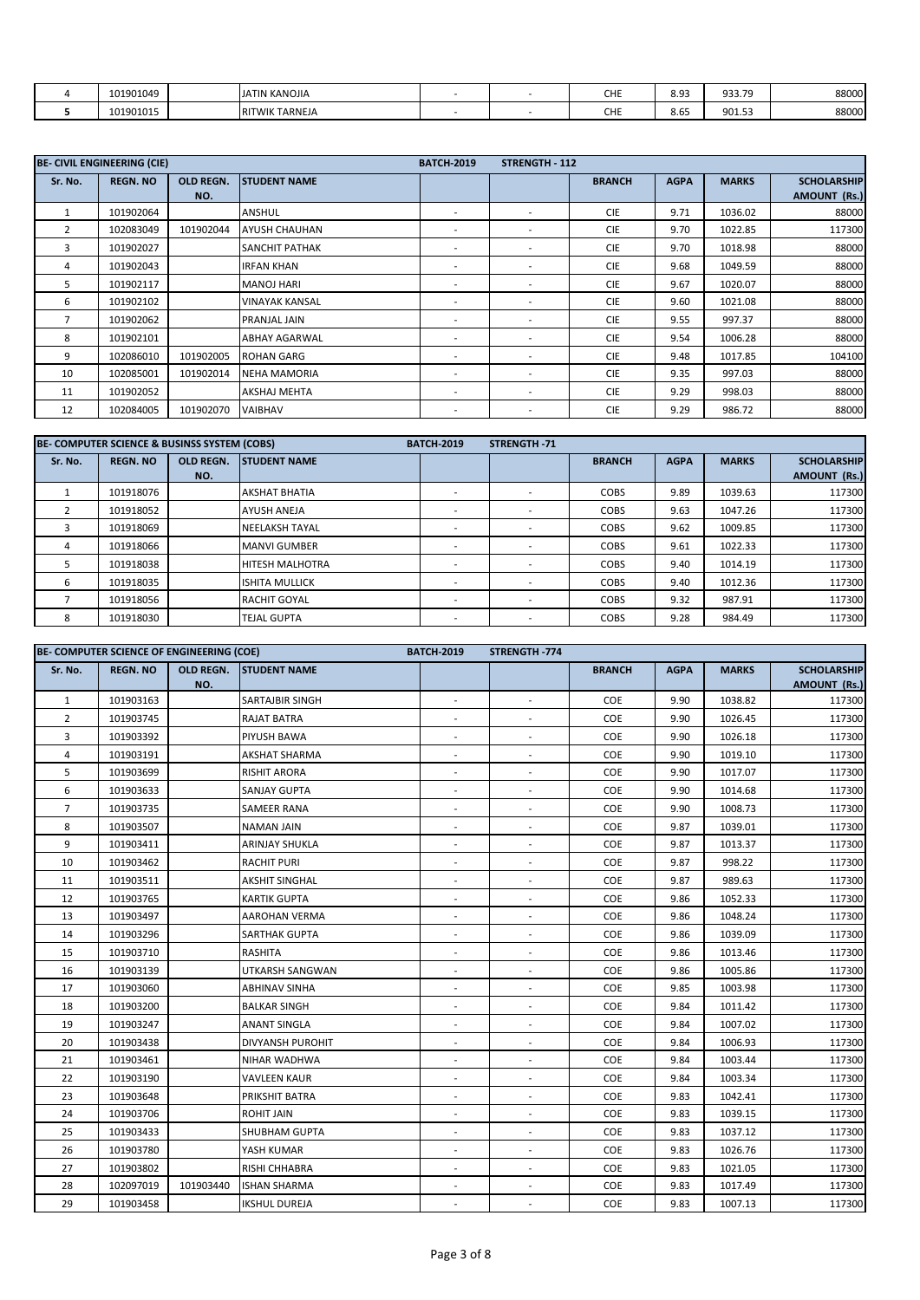| 101901049 | <b>JATIN KANOJIA</b>             |  | CHE | <b>QQ</b><br>JJ | 933.79 | 88000 |
|-----------|----------------------------------|--|-----|-----------------|--------|-------|
| 101901015 | <b>TARNEJA</b><br><b>RITWIKT</b> |  | CHE | 8.65            | 901.53 | 88000 |

|                | <b>BE- CIVIL ENGINEERING (CIE)</b> |                  |                       | <b>BATCH-2019</b>        | <b>STRENGTH - 112</b>    |               |             |              |                     |
|----------------|------------------------------------|------------------|-----------------------|--------------------------|--------------------------|---------------|-------------|--------------|---------------------|
| Sr. No.        | <b>REGN. NO</b>                    | <b>OLD REGN.</b> | <b>STUDENT NAME</b>   |                          |                          | <b>BRANCH</b> | <b>AGPA</b> | <b>MARKS</b> | <b>SCHOLARSHIP</b>  |
|                |                                    | NO.              |                       |                          |                          |               |             |              | <b>AMOUNT (Rs.)</b> |
|                | 101902064                          |                  | ANSHUL                | $\overline{\phantom{a}}$ | $\overline{\phantom{a}}$ | <b>CIE</b>    | 9.71        | 1036.02      | 88000               |
| $\overline{2}$ | 102083049                          | 101902044        | <b>AYUSH CHAUHAN</b>  | $\overline{\phantom{a}}$ | $\overline{\phantom{a}}$ | <b>CIE</b>    | 9.70        | 1022.85      | 117300              |
| 3              | 101902027                          |                  | <b>SANCHIT PATHAK</b> | $\overline{\phantom{a}}$ | $\overline{\phantom{a}}$ | <b>CIE</b>    | 9.70        | 1018.98      | 88000               |
| 4              | 101902043                          |                  | <b>IRFAN KHAN</b>     | $\overline{\phantom{a}}$ | $\overline{\phantom{a}}$ | <b>CIE</b>    | 9.68        | 1049.59      | 88000               |
| 5              | 101902117                          |                  | <b>MANOJ HARI</b>     | $\overline{\phantom{a}}$ | $\overline{\phantom{a}}$ | <b>CIE</b>    | 9.67        | 1020.07      | 88000               |
| 6              | 101902102                          |                  | <b>VINAYAK KANSAL</b> | $\overline{\phantom{a}}$ | $\overline{\phantom{a}}$ | <b>CIE</b>    | 9.60        | 1021.08      | 88000               |
| $\overline{7}$ | 101902062                          |                  | PRANJAL JAIN          | ٠                        | $\overline{\phantom{a}}$ | <b>CIE</b>    | 9.55        | 997.37       | 88000               |
| 8              | 101902101                          |                  | <b>ABHAY AGARWAL</b>  | $\overline{\phantom{a}}$ | $\overline{\phantom{a}}$ | <b>CIE</b>    | 9.54        | 1006.28      | 88000               |
| 9              | 102086010                          | 101902005        | <b>ROHAN GARG</b>     | $\overline{\phantom{a}}$ | $\overline{\phantom{a}}$ | <b>CIE</b>    | 9.48        | 1017.85      | 104100              |
| 10             | 102085001                          | 101902014        | <b>NEHA MAMORIA</b>   | $\overline{\phantom{a}}$ | $\overline{\phantom{a}}$ | <b>CIE</b>    | 9.35        | 997.03       | 88000               |
| 11             | 101902052                          |                  | <b>AKSHAJ MEHTA</b>   | $\overline{\phantom{a}}$ | $\overline{\phantom{a}}$ | <b>CIE</b>    | 9.29        | 998.03       | 88000               |
| 12             | 102084005                          | 101902070        | <b>VAIBHAV</b>        | $\overline{\phantom{a}}$ | $\overline{\phantom{a}}$ | <b>CIE</b>    | 9.29        | 986.72       | 88000               |

|         | BE- COMPUTER SCIENCE & BUSINSS SYSTEM (COBS) |                  |                        | <b>BATCH-2019</b> | <b>STRENGTH-71</b> |               |             |              |                     |
|---------|----------------------------------------------|------------------|------------------------|-------------------|--------------------|---------------|-------------|--------------|---------------------|
| Sr. No. | <b>REGN. NO</b>                              | <b>OLD REGN.</b> | <b>STUDENT NAME</b>    |                   |                    | <b>BRANCH</b> | <b>AGPA</b> | <b>MARKS</b> | <b>SCHOLARSHIP</b>  |
|         |                                              | NO.              |                        |                   |                    |               |             |              | <b>AMOUNT (Rs.)</b> |
|         | 101918076                                    |                  | <b>AKSHAT BHATIA</b>   |                   |                    | <b>COBS</b>   | 9.89        | 1039.63      | 117300              |
|         | 101918052                                    |                  | <b>AYUSH ANEJA</b>     |                   |                    | COBS          | 9.63        | 1047.26      | 117300              |
|         | 101918069                                    |                  | <b>NEELAKSH TAYAL</b>  |                   |                    | <b>COBS</b>   | 9.62        | 1009.85      | 117300              |
| 4       | 101918066                                    |                  | <b>MANVI GUMBER</b>    | ۰                 |                    | <b>COBS</b>   | 9.61        | 1022.33      | 117300              |
|         | 101918038                                    |                  | <b>HITESH MALHOTRA</b> | ۰                 |                    | <b>COBS</b>   | 9.40        | 1014.19      | 117300              |
| 6       | 101918035                                    |                  | <b>ISHITA MULLICK</b>  | ۰                 | ۰.                 | <b>COBS</b>   | 9.40        | 1012.36      | 117300              |
|         | 101918056                                    |                  | <b>RACHIT GOYAL</b>    |                   |                    | <b>COBS</b>   | 9.32        | 987.91       | 117300              |
| 8       | 101918030                                    |                  | <b>TEJAL GUPTA</b>     |                   |                    | COBS          | 9.28        | 984.49       | 117300              |

|                | BE- COMPUTER SCIENCE OF ENGINEERING (COE) |           |                         |                          | STRENGTH-774             |               |             |              |                     |
|----------------|-------------------------------------------|-----------|-------------------------|--------------------------|--------------------------|---------------|-------------|--------------|---------------------|
| Sr. No.        | <b>REGN. NO</b>                           | OLD REGN. | <b>STUDENT NAME</b>     |                          |                          | <b>BRANCH</b> | <b>AGPA</b> | <b>MARKS</b> | <b>SCHOLARSHIP</b>  |
|                |                                           | NO.       |                         |                          |                          |               |             |              | <b>AMOUNT (Rs.)</b> |
| $\mathbf{1}$   | 101903163                                 |           | <b>SARTAJBIR SINGH</b>  |                          |                          | COE           | 9.90        | 1038.82      | 117300              |
| $\overline{2}$ | 101903745                                 |           | <b>RAJAT BATRA</b>      | $\sim$                   | $\overline{\phantom{a}}$ | COE           | 9.90        | 1026.45      | 117300              |
| 3              | 101903392                                 |           | PIYUSH BAWA             | $\overline{\phantom{a}}$ |                          | COE           | 9.90        | 1026.18      | 117300              |
| 4              | 101903191                                 |           | <b>AKSHAT SHARMA</b>    | ÷,                       |                          | COE           | 9.90        | 1019.10      | 117300              |
| 5              | 101903699                                 |           | <b>RISHIT ARORA</b>     | $\sim$                   | $\sim$                   | COE           | 9.90        | 1017.07      | 117300              |
| 6              | 101903633                                 |           | <b>SANJAY GUPTA</b>     | ٠                        | $\overline{\phantom{a}}$ | COE           | 9.90        | 1014.68      | 117300              |
| $\overline{7}$ | 101903735                                 |           | SAMEER RANA             | $\overline{\phantom{a}}$ | $\overline{\phantom{a}}$ | COE           | 9.90        | 1008.73      | 117300              |
| 8              | 101903507                                 |           | <b>NAMAN JAIN</b>       | $\overline{\phantom{a}}$ | $\overline{\phantom{a}}$ | COE           | 9.87        | 1039.01      | 117300              |
| 9              | 101903411                                 |           | <b>ARINJAY SHUKLA</b>   | $\overline{\phantom{a}}$ | $\overline{\phantom{a}}$ | COE           | 9.87        | 1013.37      | 117300              |
| 10             | 101903462                                 |           | <b>RACHIT PURI</b>      | $\overline{\phantom{a}}$ | $\sim$                   | COE           | 9.87        | 998.22       | 117300              |
| 11             | 101903511                                 |           | <b>AKSHIT SINGHAL</b>   | $\overline{\phantom{a}}$ | $\overline{\phantom{a}}$ | COE           | 9.87        | 989.63       | 117300              |
| 12             | 101903765                                 |           | <b>KARTIK GUPTA</b>     | ٠                        |                          | COE           | 9.86        | 1052.33      | 117300              |
| 13             | 101903497                                 |           | <b>AAROHAN VERMA</b>    | $\overline{\phantom{a}}$ | $\overline{\phantom{a}}$ | COE           | 9.86        | 1048.24      | 117300              |
| 14             | 101903296                                 |           | <b>SARTHAK GUPTA</b>    | $\overline{\phantom{a}}$ | $\overline{\phantom{a}}$ | COE           | 9.86        | 1039.09      | 117300              |
| 15             | 101903710                                 |           | <b>RASHITA</b>          |                          | $\sim$                   | COE           | 9.86        | 1013.46      | 117300              |
| 16             | 101903139                                 |           | UTKARSH SANGWAN         | $\overline{\phantom{a}}$ | $\overline{\phantom{a}}$ | COE           | 9.86        | 1005.86      | 117300              |
| 17             | 101903060                                 |           | <b>ABHINAV SINHA</b>    | ÷                        | $\overline{\phantom{a}}$ | COE           | 9.85        | 1003.98      | 117300              |
| 18             | 101903200                                 |           | <b>BALKAR SINGH</b>     | $\overline{\phantom{a}}$ | $\overline{\phantom{a}}$ | COE           | 9.84        | 1011.42      | 117300              |
| 19             | 101903247                                 |           | <b>ANANT SINGLA</b>     | $\overline{\phantom{a}}$ | $\overline{\phantom{a}}$ | COE           | 9.84        | 1007.02      | 117300              |
| 20             | 101903438                                 |           | <b>DIVYANSH PUROHIT</b> | $\overline{\phantom{a}}$ | $\overline{\phantom{a}}$ | COE           | 9.84        | 1006.93      | 117300              |
| 21             | 101903461                                 |           | NIHAR WADHWA            | ٠                        | $\sim$                   | COE           | 9.84        | 1003.44      | 117300              |
| 22             | 101903190                                 |           | <b>VAVLEEN KAUR</b>     | $\overline{\phantom{a}}$ | $\overline{\phantom{a}}$ | COE           | 9.84        | 1003.34      | 117300              |
| 23             | 101903648                                 |           | PRIKSHIT BATRA          | ÷,                       | $\overline{\phantom{a}}$ | COE           | 9.83        | 1042.41      | 117300              |
| 24             | 101903706                                 |           | <b>ROHIT JAIN</b>       | ٠                        | $\overline{\phantom{a}}$ | COE           | 9.83        | 1039.15      | 117300              |
| 25             | 101903433                                 |           | <b>SHUBHAM GUPTA</b>    | $\blacksquare$           | $\overline{\phantom{a}}$ | COE           | 9.83        | 1037.12      | 117300              |
| 26             | 101903780                                 |           | YASH KUMAR              | ÷,                       | $\sim$                   | COE           | 9.83        | 1026.76      | 117300              |
| 27             | 101903802                                 |           | <b>RISHI CHHABRA</b>    | $\overline{\phantom{a}}$ | $\overline{\phantom{a}}$ | COE           | 9.83        | 1021.05      | 117300              |
| 28             | 102097019                                 | 101903440 | <b>ISHAN SHARMA</b>     | $\overline{\phantom{a}}$ | $\overline{\phantom{a}}$ | COE           | 9.83        | 1017.49      | 117300              |
| 29             | 101903458                                 |           | <b>IKSHUL DUREJA</b>    |                          |                          | COE           | 9.83        | 1007.13      | 117300              |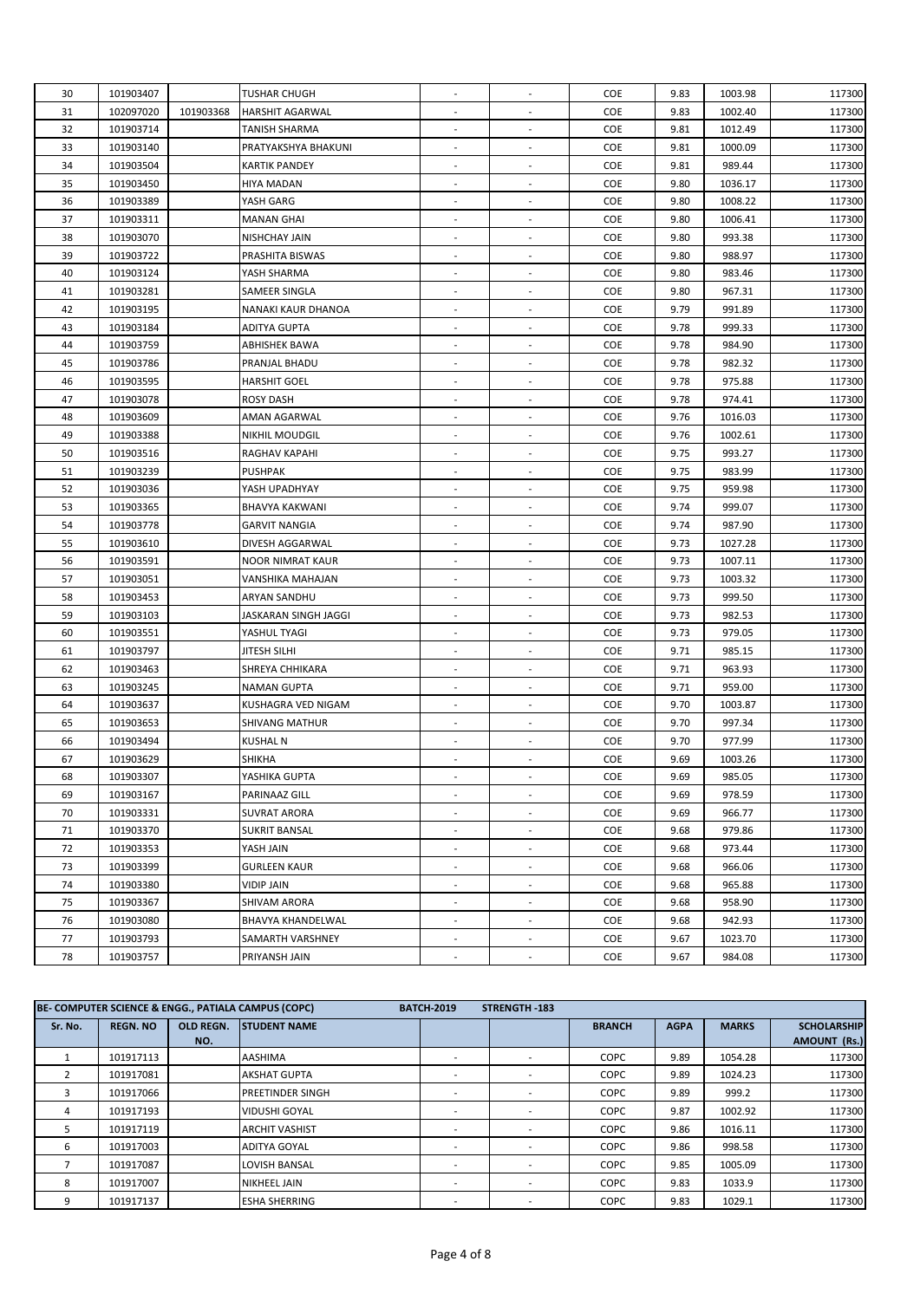| 30<br>101903407<br>TUSHAR CHUGH<br>COE<br>9.83<br>1003.98<br>117300<br>$\overline{\phantom{a}}$<br>$\overline{\phantom{a}}$<br>102097020<br>101903368<br>COE<br>9.83<br>1002.40<br>117300<br>31<br>HARSHIT AGARWAL<br>32<br>COE<br>101903714<br>TANISH SHARMA<br>9.81<br>1012.49<br>117300<br>$\overline{\phantom{a}}$<br>$\overline{\phantom{a}}$<br>COE<br>33<br>101903140<br>PRATYAKSHYA BHAKUNI<br>9.81<br>1000.09<br>117300<br>$\overline{\phantom{a}}$<br>$\overline{\phantom{a}}$<br>34<br>101903504<br><b>KARTIK PANDEY</b><br><b>COE</b><br>9.81<br>989.44<br>117300<br>$\overline{\phantom{a}}$<br>$\overline{\phantom{a}}$<br>35<br>COE<br>101903450<br>9.80<br>1036.17<br>117300<br>HIYA MADAN<br>$\overline{\phantom{a}}$<br>$\overline{\phantom{a}}$<br>36<br>COE<br>9.80<br>101903389<br>YASH GARG<br>1008.22<br>117300<br>$\overline{\phantom{a}}$<br>$\overline{\phantom{a}}$<br>COE<br>37<br>101903311<br>9.80<br>1006.41<br>117300<br>MANAN GHAI<br>$\overline{\phantom{a}}$<br>$\overline{\phantom{a}}$<br>38<br>COE<br>993.38<br>101903070<br>NISHCHAY JAIN<br>9.80<br>117300<br>$\overline{\phantom{a}}$<br>$\overline{\phantom{a}}$<br>39<br>COE<br>9.80<br>988.97<br>101903722<br>PRASHITA BISWAS<br>117300<br>40<br>101903124<br>COE<br>9.80<br>983.46<br>117300<br>YASH SHARMA<br>$\overline{\phantom{a}}$<br>$\overline{\phantom{a}}$<br>COE<br>41<br>101903281<br>9.80<br>967.31<br>117300<br>SAMEER SINGLA<br>42<br>101903195<br>NANAKI KAUR DHANOA<br><b>COE</b><br>9.79<br>991.89<br>117300<br>$\overline{\phantom{a}}$<br>$\overline{\phantom{a}}$<br>101903184<br>COE<br>999.33<br>117300<br>43<br>ADITYA GUPTA<br>9.78<br>$\overline{\phantom{a}}$<br>$\overline{\phantom{a}}$<br>44<br>101903759<br>COE<br>9.78<br>984.90<br>117300<br>ABHISHEK BAWA<br>$\sim$<br>$\overline{\phantom{a}}$<br>982.32<br>45<br>101903786<br>PRANJAL BHADU<br><b>COE</b><br>9.78<br>117300<br>$\blacksquare$<br>$\overline{\phantom{a}}$<br>COE<br>975.88<br>46<br>101903595<br>HARSHIT GOEL<br>9.78<br>117300<br>$\sim$<br>$\overline{\phantom{a}}$<br>47<br>COE<br>101903078<br><b>ROSY DASH</b><br>9.78<br>974.41<br>117300<br>$\overline{\phantom{a}}$<br>$\overline{\phantom{a}}$<br>48<br>COE<br>117300<br>101903609<br>AMAN AGARWAL<br>9.76<br>1016.03<br>$\overline{\phantom{a}}$<br>$\overline{\phantom{a}}$<br>49<br>101903388<br>NIKHIL MOUDGIL<br><b>COE</b><br>9.76<br>1002.61<br>117300<br>$\overline{\phantom{a}}$<br>$\overline{\phantom{a}}$<br>50<br>101903516<br><b>COE</b><br>9.75<br>993.27<br>117300<br>RAGHAV KAPAHI<br>$\overline{\phantom{a}}$<br>$\overline{\phantom{a}}$<br>51<br>101903239<br>PUSHPAK<br><b>COE</b><br>9.75<br>983.99<br>117300<br>$\overline{\phantom{a}}$<br>$\overline{\phantom{a}}$<br>52<br>101903036<br>COE<br>9.75<br>959.98<br>117300<br>YASH UPADHYAY<br>$\sim$<br>$\overline{\phantom{a}}$<br>53<br>COE<br>999.07<br>101903365<br><b>BHAVYA KAKWANI</b><br>9.74<br>117300<br>$\overline{\phantom{a}}$<br>$\overline{\phantom{a}}$<br>54<br>101903778<br><b>COE</b><br>9.74<br>987.90<br>117300<br>GARVIT NANGIA<br>$\overline{\phantom{a}}$<br>$\overline{\phantom{a}}$<br>55<br>101903610<br>DIVESH AGGARWAL<br>COE<br>9.73<br>1027.28<br>117300<br>$\overline{\phantom{a}}$<br>$\overline{\phantom{a}}$<br>56<br>COE<br>9.73<br>101903591<br>1007.11<br>117300<br>NOOR NIMRAT KAUR<br>101903051<br>COE<br>9.73<br>57<br>1003.32<br>117300<br>VANSHIKA MAHAJAN<br>$\overline{\phantom{a}}$<br>$\overline{\phantom{a}}$<br>58<br>101903453<br><b>COE</b><br>9.73<br>999.50<br>117300<br>ARYAN SANDHU<br>$\overline{\phantom{a}}$<br>59<br>101903103<br>JASKARAN SINGH JAGGI<br>COE<br>9.73<br>982.53<br>117300<br>$\overline{\phantom{a}}$<br>$\overline{\phantom{a}}$<br>101903551<br>COE<br>979.05<br>60<br>YASHUL TYAGI<br>9.73<br>117300<br>$\overline{\phantom{a}}$<br>$\overline{\phantom{a}}$<br>101903797<br>COE<br>985.15<br>61<br>JITESH SILHI<br>9.71<br>117300<br>$\overline{\phantom{a}}$<br>$\overline{\phantom{a}}$<br>963.93<br>62<br>101903463<br>SHREYA CHHIKARA<br><b>COE</b><br>9.71<br>117300<br>$\blacksquare$<br>$\overline{\phantom{a}}$<br>COE<br>959.00<br>63<br>101903245<br>NAMAN GUPTA<br>9.71<br>117300<br>$\overline{\phantom{a}}$<br>$\overline{\phantom{a}}$<br>COE<br>9.70<br>1003.87<br>64<br>101903637<br>KUSHAGRA VED NIGAM<br>117300<br>$\overline{\phantom{a}}$<br>$\overline{\phantom{a}}$<br>COE<br>65<br>101903653<br><b>SHIVANG MATHUR</b><br>9.70<br>997.34<br>117300<br>$\overline{\phantom{a}}$<br>$\overline{\phantom{a}}$<br>COE<br>66<br>101903494<br>KUSHAL N<br>9.70<br>977.99<br>117300<br>$\overline{\phantom{a}}$<br>$\overline{\phantom{a}}$<br>67<br>COE<br>101903629<br>SHIKHA<br>9.69<br>1003.26<br>117300<br>$\overline{\phantom{a}}$<br>$\overline{\phantom{a}}$<br>68<br>101903307<br>YASHIKA GUPTA<br><b>COE</b><br>9.69<br>985.05<br>117300<br>69<br>COE<br>117300<br>101903167<br>PARINAAZ GILL<br>9.69<br>978.59<br>$\overline{\phantom{a}}$<br>$\overline{\phantom{a}}$<br>70<br>101903331<br>COE<br>9.69<br>117300<br>SUVRAT ARORA<br>966.77<br>$\sim$<br>979.86<br>71<br>101903370<br><b>SUKRIT BANSAL</b><br>COE<br>9.68<br>117300<br>$\overline{\phantom{a}}$<br>72<br>101903353<br>COE<br>9.68<br>973.44<br><b>YASH JAIN</b><br>117300<br>73<br>101903399<br>COE<br>117300<br><b>GURLEEN KAUR</b><br>9.68<br>966.06<br>$\overline{\phantom{a}}$<br>74<br>101903380<br>COE<br>VIDIP JAIN<br>9.68<br>965.88<br>117300<br>$\sim$<br>$\overline{\phantom{a}}$<br>75<br>101903367<br>SHIVAM ARORA<br>COE<br>9.68<br>958.90<br>117300<br>$\overline{\phantom{a}}$<br>$\overline{\phantom{a}}$<br>76<br>101903080<br>COE<br>942.93<br>BHAVYA KHANDELWAL<br>9.68<br>117300<br>$\overline{\phantom{a}}$<br>$\overline{\phantom{a}}$<br>77<br>101903793<br>COE<br>SAMARTH VARSHNEY<br>9.67<br>1023.70<br>117300<br>$\blacksquare$<br>78<br>101903757<br>COE<br>9.67<br>984.08<br>117300<br>PRIYANSH JAIN<br>$\sim$<br>$\overline{\phantom{a}}$ |  |  |  |  |  |
|------------------------------------------------------------------------------------------------------------------------------------------------------------------------------------------------------------------------------------------------------------------------------------------------------------------------------------------------------------------------------------------------------------------------------------------------------------------------------------------------------------------------------------------------------------------------------------------------------------------------------------------------------------------------------------------------------------------------------------------------------------------------------------------------------------------------------------------------------------------------------------------------------------------------------------------------------------------------------------------------------------------------------------------------------------------------------------------------------------------------------------------------------------------------------------------------------------------------------------------------------------------------------------------------------------------------------------------------------------------------------------------------------------------------------------------------------------------------------------------------------------------------------------------------------------------------------------------------------------------------------------------------------------------------------------------------------------------------------------------------------------------------------------------------------------------------------------------------------------------------------------------------------------------------------------------------------------------------------------------------------------------------------------------------------------------------------------------------------------------------------------------------------------------------------------------------------------------------------------------------------------------------------------------------------------------------------------------------------------------------------------------------------------------------------------------------------------------------------------------------------------------------------------------------------------------------------------------------------------------------------------------------------------------------------------------------------------------------------------------------------------------------------------------------------------------------------------------------------------------------------------------------------------------------------------------------------------------------------------------------------------------------------------------------------------------------------------------------------------------------------------------------------------------------------------------------------------------------------------------------------------------------------------------------------------------------------------------------------------------------------------------------------------------------------------------------------------------------------------------------------------------------------------------------------------------------------------------------------------------------------------------------------------------------------------------------------------------------------------------------------------------------------------------------------------------------------------------------------------------------------------------------------------------------------------------------------------------------------------------------------------------------------------------------------------------------------------------------------------------------------------------------------------------------------------------------------------------------------------------------------------------------------------------------------------------------------------------------------------------------------------------------------------------------------------------------------------------------------------------------------------------------------------------------------------------------------------------------------------------------------------------------------------------------------------------------------------------------------------------------------------------------------------------------------------------------------------------------------------------------------------------------------------------------------------------------------------------------------------------------------------------------------------------------------------------------------------------------------------------------------------------------------------------------------------------------------------------------------------------------------------------------------------------------------------------------------------------------------------------------------------------------------------------------------------------------------------------------------------------------------------------------------------------------------------------------------------------------------------------------------------------------------------------------------------------------------------------------------------------------------------------------------------------------------------------------------------------------------------------------------------------------------------------------------------------------------------------------------------|--|--|--|--|--|
|                                                                                                                                                                                                                                                                                                                                                                                                                                                                                                                                                                                                                                                                                                                                                                                                                                                                                                                                                                                                                                                                                                                                                                                                                                                                                                                                                                                                                                                                                                                                                                                                                                                                                                                                                                                                                                                                                                                                                                                                                                                                                                                                                                                                                                                                                                                                                                                                                                                                                                                                                                                                                                                                                                                                                                                                                                                                                                                                                                                                                                                                                                                                                                                                                                                                                                                                                                                                                                                                                                                                                                                                                                                                                                                                                                                                                                                                                                                                                                                                                                                                                                                                                                                                                                                                                                                                                                                                                                                                                                                                                                                                                                                                                                                                                                                                                                                                                                                                                                                                                                                                                                                                                                                                                                                                                                                                                                                                                                                                                                                                                                                                                                                                                                                                                                                                                                                                                                                                                                                    |  |  |  |  |  |
|                                                                                                                                                                                                                                                                                                                                                                                                                                                                                                                                                                                                                                                                                                                                                                                                                                                                                                                                                                                                                                                                                                                                                                                                                                                                                                                                                                                                                                                                                                                                                                                                                                                                                                                                                                                                                                                                                                                                                                                                                                                                                                                                                                                                                                                                                                                                                                                                                                                                                                                                                                                                                                                                                                                                                                                                                                                                                                                                                                                                                                                                                                                                                                                                                                                                                                                                                                                                                                                                                                                                                                                                                                                                                                                                                                                                                                                                                                                                                                                                                                                                                                                                                                                                                                                                                                                                                                                                                                                                                                                                                                                                                                                                                                                                                                                                                                                                                                                                                                                                                                                                                                                                                                                                                                                                                                                                                                                                                                                                                                                                                                                                                                                                                                                                                                                                                                                                                                                                                                                    |  |  |  |  |  |
|                                                                                                                                                                                                                                                                                                                                                                                                                                                                                                                                                                                                                                                                                                                                                                                                                                                                                                                                                                                                                                                                                                                                                                                                                                                                                                                                                                                                                                                                                                                                                                                                                                                                                                                                                                                                                                                                                                                                                                                                                                                                                                                                                                                                                                                                                                                                                                                                                                                                                                                                                                                                                                                                                                                                                                                                                                                                                                                                                                                                                                                                                                                                                                                                                                                                                                                                                                                                                                                                                                                                                                                                                                                                                                                                                                                                                                                                                                                                                                                                                                                                                                                                                                                                                                                                                                                                                                                                                                                                                                                                                                                                                                                                                                                                                                                                                                                                                                                                                                                                                                                                                                                                                                                                                                                                                                                                                                                                                                                                                                                                                                                                                                                                                                                                                                                                                                                                                                                                                                                    |  |  |  |  |  |
|                                                                                                                                                                                                                                                                                                                                                                                                                                                                                                                                                                                                                                                                                                                                                                                                                                                                                                                                                                                                                                                                                                                                                                                                                                                                                                                                                                                                                                                                                                                                                                                                                                                                                                                                                                                                                                                                                                                                                                                                                                                                                                                                                                                                                                                                                                                                                                                                                                                                                                                                                                                                                                                                                                                                                                                                                                                                                                                                                                                                                                                                                                                                                                                                                                                                                                                                                                                                                                                                                                                                                                                                                                                                                                                                                                                                                                                                                                                                                                                                                                                                                                                                                                                                                                                                                                                                                                                                                                                                                                                                                                                                                                                                                                                                                                                                                                                                                                                                                                                                                                                                                                                                                                                                                                                                                                                                                                                                                                                                                                                                                                                                                                                                                                                                                                                                                                                                                                                                                                                    |  |  |  |  |  |
|                                                                                                                                                                                                                                                                                                                                                                                                                                                                                                                                                                                                                                                                                                                                                                                                                                                                                                                                                                                                                                                                                                                                                                                                                                                                                                                                                                                                                                                                                                                                                                                                                                                                                                                                                                                                                                                                                                                                                                                                                                                                                                                                                                                                                                                                                                                                                                                                                                                                                                                                                                                                                                                                                                                                                                                                                                                                                                                                                                                                                                                                                                                                                                                                                                                                                                                                                                                                                                                                                                                                                                                                                                                                                                                                                                                                                                                                                                                                                                                                                                                                                                                                                                                                                                                                                                                                                                                                                                                                                                                                                                                                                                                                                                                                                                                                                                                                                                                                                                                                                                                                                                                                                                                                                                                                                                                                                                                                                                                                                                                                                                                                                                                                                                                                                                                                                                                                                                                                                                                    |  |  |  |  |  |
|                                                                                                                                                                                                                                                                                                                                                                                                                                                                                                                                                                                                                                                                                                                                                                                                                                                                                                                                                                                                                                                                                                                                                                                                                                                                                                                                                                                                                                                                                                                                                                                                                                                                                                                                                                                                                                                                                                                                                                                                                                                                                                                                                                                                                                                                                                                                                                                                                                                                                                                                                                                                                                                                                                                                                                                                                                                                                                                                                                                                                                                                                                                                                                                                                                                                                                                                                                                                                                                                                                                                                                                                                                                                                                                                                                                                                                                                                                                                                                                                                                                                                                                                                                                                                                                                                                                                                                                                                                                                                                                                                                                                                                                                                                                                                                                                                                                                                                                                                                                                                                                                                                                                                                                                                                                                                                                                                                                                                                                                                                                                                                                                                                                                                                                                                                                                                                                                                                                                                                                    |  |  |  |  |  |
|                                                                                                                                                                                                                                                                                                                                                                                                                                                                                                                                                                                                                                                                                                                                                                                                                                                                                                                                                                                                                                                                                                                                                                                                                                                                                                                                                                                                                                                                                                                                                                                                                                                                                                                                                                                                                                                                                                                                                                                                                                                                                                                                                                                                                                                                                                                                                                                                                                                                                                                                                                                                                                                                                                                                                                                                                                                                                                                                                                                                                                                                                                                                                                                                                                                                                                                                                                                                                                                                                                                                                                                                                                                                                                                                                                                                                                                                                                                                                                                                                                                                                                                                                                                                                                                                                                                                                                                                                                                                                                                                                                                                                                                                                                                                                                                                                                                                                                                                                                                                                                                                                                                                                                                                                                                                                                                                                                                                                                                                                                                                                                                                                                                                                                                                                                                                                                                                                                                                                                                    |  |  |  |  |  |
|                                                                                                                                                                                                                                                                                                                                                                                                                                                                                                                                                                                                                                                                                                                                                                                                                                                                                                                                                                                                                                                                                                                                                                                                                                                                                                                                                                                                                                                                                                                                                                                                                                                                                                                                                                                                                                                                                                                                                                                                                                                                                                                                                                                                                                                                                                                                                                                                                                                                                                                                                                                                                                                                                                                                                                                                                                                                                                                                                                                                                                                                                                                                                                                                                                                                                                                                                                                                                                                                                                                                                                                                                                                                                                                                                                                                                                                                                                                                                                                                                                                                                                                                                                                                                                                                                                                                                                                                                                                                                                                                                                                                                                                                                                                                                                                                                                                                                                                                                                                                                                                                                                                                                                                                                                                                                                                                                                                                                                                                                                                                                                                                                                                                                                                                                                                                                                                                                                                                                                                    |  |  |  |  |  |
|                                                                                                                                                                                                                                                                                                                                                                                                                                                                                                                                                                                                                                                                                                                                                                                                                                                                                                                                                                                                                                                                                                                                                                                                                                                                                                                                                                                                                                                                                                                                                                                                                                                                                                                                                                                                                                                                                                                                                                                                                                                                                                                                                                                                                                                                                                                                                                                                                                                                                                                                                                                                                                                                                                                                                                                                                                                                                                                                                                                                                                                                                                                                                                                                                                                                                                                                                                                                                                                                                                                                                                                                                                                                                                                                                                                                                                                                                                                                                                                                                                                                                                                                                                                                                                                                                                                                                                                                                                                                                                                                                                                                                                                                                                                                                                                                                                                                                                                                                                                                                                                                                                                                                                                                                                                                                                                                                                                                                                                                                                                                                                                                                                                                                                                                                                                                                                                                                                                                                                                    |  |  |  |  |  |
|                                                                                                                                                                                                                                                                                                                                                                                                                                                                                                                                                                                                                                                                                                                                                                                                                                                                                                                                                                                                                                                                                                                                                                                                                                                                                                                                                                                                                                                                                                                                                                                                                                                                                                                                                                                                                                                                                                                                                                                                                                                                                                                                                                                                                                                                                                                                                                                                                                                                                                                                                                                                                                                                                                                                                                                                                                                                                                                                                                                                                                                                                                                                                                                                                                                                                                                                                                                                                                                                                                                                                                                                                                                                                                                                                                                                                                                                                                                                                                                                                                                                                                                                                                                                                                                                                                                                                                                                                                                                                                                                                                                                                                                                                                                                                                                                                                                                                                                                                                                                                                                                                                                                                                                                                                                                                                                                                                                                                                                                                                                                                                                                                                                                                                                                                                                                                                                                                                                                                                                    |  |  |  |  |  |
|                                                                                                                                                                                                                                                                                                                                                                                                                                                                                                                                                                                                                                                                                                                                                                                                                                                                                                                                                                                                                                                                                                                                                                                                                                                                                                                                                                                                                                                                                                                                                                                                                                                                                                                                                                                                                                                                                                                                                                                                                                                                                                                                                                                                                                                                                                                                                                                                                                                                                                                                                                                                                                                                                                                                                                                                                                                                                                                                                                                                                                                                                                                                                                                                                                                                                                                                                                                                                                                                                                                                                                                                                                                                                                                                                                                                                                                                                                                                                                                                                                                                                                                                                                                                                                                                                                                                                                                                                                                                                                                                                                                                                                                                                                                                                                                                                                                                                                                                                                                                                                                                                                                                                                                                                                                                                                                                                                                                                                                                                                                                                                                                                                                                                                                                                                                                                                                                                                                                                                                    |  |  |  |  |  |
|                                                                                                                                                                                                                                                                                                                                                                                                                                                                                                                                                                                                                                                                                                                                                                                                                                                                                                                                                                                                                                                                                                                                                                                                                                                                                                                                                                                                                                                                                                                                                                                                                                                                                                                                                                                                                                                                                                                                                                                                                                                                                                                                                                                                                                                                                                                                                                                                                                                                                                                                                                                                                                                                                                                                                                                                                                                                                                                                                                                                                                                                                                                                                                                                                                                                                                                                                                                                                                                                                                                                                                                                                                                                                                                                                                                                                                                                                                                                                                                                                                                                                                                                                                                                                                                                                                                                                                                                                                                                                                                                                                                                                                                                                                                                                                                                                                                                                                                                                                                                                                                                                                                                                                                                                                                                                                                                                                                                                                                                                                                                                                                                                                                                                                                                                                                                                                                                                                                                                                                    |  |  |  |  |  |
|                                                                                                                                                                                                                                                                                                                                                                                                                                                                                                                                                                                                                                                                                                                                                                                                                                                                                                                                                                                                                                                                                                                                                                                                                                                                                                                                                                                                                                                                                                                                                                                                                                                                                                                                                                                                                                                                                                                                                                                                                                                                                                                                                                                                                                                                                                                                                                                                                                                                                                                                                                                                                                                                                                                                                                                                                                                                                                                                                                                                                                                                                                                                                                                                                                                                                                                                                                                                                                                                                                                                                                                                                                                                                                                                                                                                                                                                                                                                                                                                                                                                                                                                                                                                                                                                                                                                                                                                                                                                                                                                                                                                                                                                                                                                                                                                                                                                                                                                                                                                                                                                                                                                                                                                                                                                                                                                                                                                                                                                                                                                                                                                                                                                                                                                                                                                                                                                                                                                                                                    |  |  |  |  |  |
|                                                                                                                                                                                                                                                                                                                                                                                                                                                                                                                                                                                                                                                                                                                                                                                                                                                                                                                                                                                                                                                                                                                                                                                                                                                                                                                                                                                                                                                                                                                                                                                                                                                                                                                                                                                                                                                                                                                                                                                                                                                                                                                                                                                                                                                                                                                                                                                                                                                                                                                                                                                                                                                                                                                                                                                                                                                                                                                                                                                                                                                                                                                                                                                                                                                                                                                                                                                                                                                                                                                                                                                                                                                                                                                                                                                                                                                                                                                                                                                                                                                                                                                                                                                                                                                                                                                                                                                                                                                                                                                                                                                                                                                                                                                                                                                                                                                                                                                                                                                                                                                                                                                                                                                                                                                                                                                                                                                                                                                                                                                                                                                                                                                                                                                                                                                                                                                                                                                                                                                    |  |  |  |  |  |
|                                                                                                                                                                                                                                                                                                                                                                                                                                                                                                                                                                                                                                                                                                                                                                                                                                                                                                                                                                                                                                                                                                                                                                                                                                                                                                                                                                                                                                                                                                                                                                                                                                                                                                                                                                                                                                                                                                                                                                                                                                                                                                                                                                                                                                                                                                                                                                                                                                                                                                                                                                                                                                                                                                                                                                                                                                                                                                                                                                                                                                                                                                                                                                                                                                                                                                                                                                                                                                                                                                                                                                                                                                                                                                                                                                                                                                                                                                                                                                                                                                                                                                                                                                                                                                                                                                                                                                                                                                                                                                                                                                                                                                                                                                                                                                                                                                                                                                                                                                                                                                                                                                                                                                                                                                                                                                                                                                                                                                                                                                                                                                                                                                                                                                                                                                                                                                                                                                                                                                                    |  |  |  |  |  |
|                                                                                                                                                                                                                                                                                                                                                                                                                                                                                                                                                                                                                                                                                                                                                                                                                                                                                                                                                                                                                                                                                                                                                                                                                                                                                                                                                                                                                                                                                                                                                                                                                                                                                                                                                                                                                                                                                                                                                                                                                                                                                                                                                                                                                                                                                                                                                                                                                                                                                                                                                                                                                                                                                                                                                                                                                                                                                                                                                                                                                                                                                                                                                                                                                                                                                                                                                                                                                                                                                                                                                                                                                                                                                                                                                                                                                                                                                                                                                                                                                                                                                                                                                                                                                                                                                                                                                                                                                                                                                                                                                                                                                                                                                                                                                                                                                                                                                                                                                                                                                                                                                                                                                                                                                                                                                                                                                                                                                                                                                                                                                                                                                                                                                                                                                                                                                                                                                                                                                                                    |  |  |  |  |  |
|                                                                                                                                                                                                                                                                                                                                                                                                                                                                                                                                                                                                                                                                                                                                                                                                                                                                                                                                                                                                                                                                                                                                                                                                                                                                                                                                                                                                                                                                                                                                                                                                                                                                                                                                                                                                                                                                                                                                                                                                                                                                                                                                                                                                                                                                                                                                                                                                                                                                                                                                                                                                                                                                                                                                                                                                                                                                                                                                                                                                                                                                                                                                                                                                                                                                                                                                                                                                                                                                                                                                                                                                                                                                                                                                                                                                                                                                                                                                                                                                                                                                                                                                                                                                                                                                                                                                                                                                                                                                                                                                                                                                                                                                                                                                                                                                                                                                                                                                                                                                                                                                                                                                                                                                                                                                                                                                                                                                                                                                                                                                                                                                                                                                                                                                                                                                                                                                                                                                                                                    |  |  |  |  |  |
|                                                                                                                                                                                                                                                                                                                                                                                                                                                                                                                                                                                                                                                                                                                                                                                                                                                                                                                                                                                                                                                                                                                                                                                                                                                                                                                                                                                                                                                                                                                                                                                                                                                                                                                                                                                                                                                                                                                                                                                                                                                                                                                                                                                                                                                                                                                                                                                                                                                                                                                                                                                                                                                                                                                                                                                                                                                                                                                                                                                                                                                                                                                                                                                                                                                                                                                                                                                                                                                                                                                                                                                                                                                                                                                                                                                                                                                                                                                                                                                                                                                                                                                                                                                                                                                                                                                                                                                                                                                                                                                                                                                                                                                                                                                                                                                                                                                                                                                                                                                                                                                                                                                                                                                                                                                                                                                                                                                                                                                                                                                                                                                                                                                                                                                                                                                                                                                                                                                                                                                    |  |  |  |  |  |
|                                                                                                                                                                                                                                                                                                                                                                                                                                                                                                                                                                                                                                                                                                                                                                                                                                                                                                                                                                                                                                                                                                                                                                                                                                                                                                                                                                                                                                                                                                                                                                                                                                                                                                                                                                                                                                                                                                                                                                                                                                                                                                                                                                                                                                                                                                                                                                                                                                                                                                                                                                                                                                                                                                                                                                                                                                                                                                                                                                                                                                                                                                                                                                                                                                                                                                                                                                                                                                                                                                                                                                                                                                                                                                                                                                                                                                                                                                                                                                                                                                                                                                                                                                                                                                                                                                                                                                                                                                                                                                                                                                                                                                                                                                                                                                                                                                                                                                                                                                                                                                                                                                                                                                                                                                                                                                                                                                                                                                                                                                                                                                                                                                                                                                                                                                                                                                                                                                                                                                                    |  |  |  |  |  |
|                                                                                                                                                                                                                                                                                                                                                                                                                                                                                                                                                                                                                                                                                                                                                                                                                                                                                                                                                                                                                                                                                                                                                                                                                                                                                                                                                                                                                                                                                                                                                                                                                                                                                                                                                                                                                                                                                                                                                                                                                                                                                                                                                                                                                                                                                                                                                                                                                                                                                                                                                                                                                                                                                                                                                                                                                                                                                                                                                                                                                                                                                                                                                                                                                                                                                                                                                                                                                                                                                                                                                                                                                                                                                                                                                                                                                                                                                                                                                                                                                                                                                                                                                                                                                                                                                                                                                                                                                                                                                                                                                                                                                                                                                                                                                                                                                                                                                                                                                                                                                                                                                                                                                                                                                                                                                                                                                                                                                                                                                                                                                                                                                                                                                                                                                                                                                                                                                                                                                                                    |  |  |  |  |  |
|                                                                                                                                                                                                                                                                                                                                                                                                                                                                                                                                                                                                                                                                                                                                                                                                                                                                                                                                                                                                                                                                                                                                                                                                                                                                                                                                                                                                                                                                                                                                                                                                                                                                                                                                                                                                                                                                                                                                                                                                                                                                                                                                                                                                                                                                                                                                                                                                                                                                                                                                                                                                                                                                                                                                                                                                                                                                                                                                                                                                                                                                                                                                                                                                                                                                                                                                                                                                                                                                                                                                                                                                                                                                                                                                                                                                                                                                                                                                                                                                                                                                                                                                                                                                                                                                                                                                                                                                                                                                                                                                                                                                                                                                                                                                                                                                                                                                                                                                                                                                                                                                                                                                                                                                                                                                                                                                                                                                                                                                                                                                                                                                                                                                                                                                                                                                                                                                                                                                                                                    |  |  |  |  |  |
|                                                                                                                                                                                                                                                                                                                                                                                                                                                                                                                                                                                                                                                                                                                                                                                                                                                                                                                                                                                                                                                                                                                                                                                                                                                                                                                                                                                                                                                                                                                                                                                                                                                                                                                                                                                                                                                                                                                                                                                                                                                                                                                                                                                                                                                                                                                                                                                                                                                                                                                                                                                                                                                                                                                                                                                                                                                                                                                                                                                                                                                                                                                                                                                                                                                                                                                                                                                                                                                                                                                                                                                                                                                                                                                                                                                                                                                                                                                                                                                                                                                                                                                                                                                                                                                                                                                                                                                                                                                                                                                                                                                                                                                                                                                                                                                                                                                                                                                                                                                                                                                                                                                                                                                                                                                                                                                                                                                                                                                                                                                                                                                                                                                                                                                                                                                                                                                                                                                                                                                    |  |  |  |  |  |
|                                                                                                                                                                                                                                                                                                                                                                                                                                                                                                                                                                                                                                                                                                                                                                                                                                                                                                                                                                                                                                                                                                                                                                                                                                                                                                                                                                                                                                                                                                                                                                                                                                                                                                                                                                                                                                                                                                                                                                                                                                                                                                                                                                                                                                                                                                                                                                                                                                                                                                                                                                                                                                                                                                                                                                                                                                                                                                                                                                                                                                                                                                                                                                                                                                                                                                                                                                                                                                                                                                                                                                                                                                                                                                                                                                                                                                                                                                                                                                                                                                                                                                                                                                                                                                                                                                                                                                                                                                                                                                                                                                                                                                                                                                                                                                                                                                                                                                                                                                                                                                                                                                                                                                                                                                                                                                                                                                                                                                                                                                                                                                                                                                                                                                                                                                                                                                                                                                                                                                                    |  |  |  |  |  |
|                                                                                                                                                                                                                                                                                                                                                                                                                                                                                                                                                                                                                                                                                                                                                                                                                                                                                                                                                                                                                                                                                                                                                                                                                                                                                                                                                                                                                                                                                                                                                                                                                                                                                                                                                                                                                                                                                                                                                                                                                                                                                                                                                                                                                                                                                                                                                                                                                                                                                                                                                                                                                                                                                                                                                                                                                                                                                                                                                                                                                                                                                                                                                                                                                                                                                                                                                                                                                                                                                                                                                                                                                                                                                                                                                                                                                                                                                                                                                                                                                                                                                                                                                                                                                                                                                                                                                                                                                                                                                                                                                                                                                                                                                                                                                                                                                                                                                                                                                                                                                                                                                                                                                                                                                                                                                                                                                                                                                                                                                                                                                                                                                                                                                                                                                                                                                                                                                                                                                                                    |  |  |  |  |  |
|                                                                                                                                                                                                                                                                                                                                                                                                                                                                                                                                                                                                                                                                                                                                                                                                                                                                                                                                                                                                                                                                                                                                                                                                                                                                                                                                                                                                                                                                                                                                                                                                                                                                                                                                                                                                                                                                                                                                                                                                                                                                                                                                                                                                                                                                                                                                                                                                                                                                                                                                                                                                                                                                                                                                                                                                                                                                                                                                                                                                                                                                                                                                                                                                                                                                                                                                                                                                                                                                                                                                                                                                                                                                                                                                                                                                                                                                                                                                                                                                                                                                                                                                                                                                                                                                                                                                                                                                                                                                                                                                                                                                                                                                                                                                                                                                                                                                                                                                                                                                                                                                                                                                                                                                                                                                                                                                                                                                                                                                                                                                                                                                                                                                                                                                                                                                                                                                                                                                                                                    |  |  |  |  |  |
|                                                                                                                                                                                                                                                                                                                                                                                                                                                                                                                                                                                                                                                                                                                                                                                                                                                                                                                                                                                                                                                                                                                                                                                                                                                                                                                                                                                                                                                                                                                                                                                                                                                                                                                                                                                                                                                                                                                                                                                                                                                                                                                                                                                                                                                                                                                                                                                                                                                                                                                                                                                                                                                                                                                                                                                                                                                                                                                                                                                                                                                                                                                                                                                                                                                                                                                                                                                                                                                                                                                                                                                                                                                                                                                                                                                                                                                                                                                                                                                                                                                                                                                                                                                                                                                                                                                                                                                                                                                                                                                                                                                                                                                                                                                                                                                                                                                                                                                                                                                                                                                                                                                                                                                                                                                                                                                                                                                                                                                                                                                                                                                                                                                                                                                                                                                                                                                                                                                                                                                    |  |  |  |  |  |
|                                                                                                                                                                                                                                                                                                                                                                                                                                                                                                                                                                                                                                                                                                                                                                                                                                                                                                                                                                                                                                                                                                                                                                                                                                                                                                                                                                                                                                                                                                                                                                                                                                                                                                                                                                                                                                                                                                                                                                                                                                                                                                                                                                                                                                                                                                                                                                                                                                                                                                                                                                                                                                                                                                                                                                                                                                                                                                                                                                                                                                                                                                                                                                                                                                                                                                                                                                                                                                                                                                                                                                                                                                                                                                                                                                                                                                                                                                                                                                                                                                                                                                                                                                                                                                                                                                                                                                                                                                                                                                                                                                                                                                                                                                                                                                                                                                                                                                                                                                                                                                                                                                                                                                                                                                                                                                                                                                                                                                                                                                                                                                                                                                                                                                                                                                                                                                                                                                                                                                                    |  |  |  |  |  |
|                                                                                                                                                                                                                                                                                                                                                                                                                                                                                                                                                                                                                                                                                                                                                                                                                                                                                                                                                                                                                                                                                                                                                                                                                                                                                                                                                                                                                                                                                                                                                                                                                                                                                                                                                                                                                                                                                                                                                                                                                                                                                                                                                                                                                                                                                                                                                                                                                                                                                                                                                                                                                                                                                                                                                                                                                                                                                                                                                                                                                                                                                                                                                                                                                                                                                                                                                                                                                                                                                                                                                                                                                                                                                                                                                                                                                                                                                                                                                                                                                                                                                                                                                                                                                                                                                                                                                                                                                                                                                                                                                                                                                                                                                                                                                                                                                                                                                                                                                                                                                                                                                                                                                                                                                                                                                                                                                                                                                                                                                                                                                                                                                                                                                                                                                                                                                                                                                                                                                                                    |  |  |  |  |  |
|                                                                                                                                                                                                                                                                                                                                                                                                                                                                                                                                                                                                                                                                                                                                                                                                                                                                                                                                                                                                                                                                                                                                                                                                                                                                                                                                                                                                                                                                                                                                                                                                                                                                                                                                                                                                                                                                                                                                                                                                                                                                                                                                                                                                                                                                                                                                                                                                                                                                                                                                                                                                                                                                                                                                                                                                                                                                                                                                                                                                                                                                                                                                                                                                                                                                                                                                                                                                                                                                                                                                                                                                                                                                                                                                                                                                                                                                                                                                                                                                                                                                                                                                                                                                                                                                                                                                                                                                                                                                                                                                                                                                                                                                                                                                                                                                                                                                                                                                                                                                                                                                                                                                                                                                                                                                                                                                                                                                                                                                                                                                                                                                                                                                                                                                                                                                                                                                                                                                                                                    |  |  |  |  |  |
|                                                                                                                                                                                                                                                                                                                                                                                                                                                                                                                                                                                                                                                                                                                                                                                                                                                                                                                                                                                                                                                                                                                                                                                                                                                                                                                                                                                                                                                                                                                                                                                                                                                                                                                                                                                                                                                                                                                                                                                                                                                                                                                                                                                                                                                                                                                                                                                                                                                                                                                                                                                                                                                                                                                                                                                                                                                                                                                                                                                                                                                                                                                                                                                                                                                                                                                                                                                                                                                                                                                                                                                                                                                                                                                                                                                                                                                                                                                                                                                                                                                                                                                                                                                                                                                                                                                                                                                                                                                                                                                                                                                                                                                                                                                                                                                                                                                                                                                                                                                                                                                                                                                                                                                                                                                                                                                                                                                                                                                                                                                                                                                                                                                                                                                                                                                                                                                                                                                                                                                    |  |  |  |  |  |
|                                                                                                                                                                                                                                                                                                                                                                                                                                                                                                                                                                                                                                                                                                                                                                                                                                                                                                                                                                                                                                                                                                                                                                                                                                                                                                                                                                                                                                                                                                                                                                                                                                                                                                                                                                                                                                                                                                                                                                                                                                                                                                                                                                                                                                                                                                                                                                                                                                                                                                                                                                                                                                                                                                                                                                                                                                                                                                                                                                                                                                                                                                                                                                                                                                                                                                                                                                                                                                                                                                                                                                                                                                                                                                                                                                                                                                                                                                                                                                                                                                                                                                                                                                                                                                                                                                                                                                                                                                                                                                                                                                                                                                                                                                                                                                                                                                                                                                                                                                                                                                                                                                                                                                                                                                                                                                                                                                                                                                                                                                                                                                                                                                                                                                                                                                                                                                                                                                                                                                                    |  |  |  |  |  |
|                                                                                                                                                                                                                                                                                                                                                                                                                                                                                                                                                                                                                                                                                                                                                                                                                                                                                                                                                                                                                                                                                                                                                                                                                                                                                                                                                                                                                                                                                                                                                                                                                                                                                                                                                                                                                                                                                                                                                                                                                                                                                                                                                                                                                                                                                                                                                                                                                                                                                                                                                                                                                                                                                                                                                                                                                                                                                                                                                                                                                                                                                                                                                                                                                                                                                                                                                                                                                                                                                                                                                                                                                                                                                                                                                                                                                                                                                                                                                                                                                                                                                                                                                                                                                                                                                                                                                                                                                                                                                                                                                                                                                                                                                                                                                                                                                                                                                                                                                                                                                                                                                                                                                                                                                                                                                                                                                                                                                                                                                                                                                                                                                                                                                                                                                                                                                                                                                                                                                                                    |  |  |  |  |  |
|                                                                                                                                                                                                                                                                                                                                                                                                                                                                                                                                                                                                                                                                                                                                                                                                                                                                                                                                                                                                                                                                                                                                                                                                                                                                                                                                                                                                                                                                                                                                                                                                                                                                                                                                                                                                                                                                                                                                                                                                                                                                                                                                                                                                                                                                                                                                                                                                                                                                                                                                                                                                                                                                                                                                                                                                                                                                                                                                                                                                                                                                                                                                                                                                                                                                                                                                                                                                                                                                                                                                                                                                                                                                                                                                                                                                                                                                                                                                                                                                                                                                                                                                                                                                                                                                                                                                                                                                                                                                                                                                                                                                                                                                                                                                                                                                                                                                                                                                                                                                                                                                                                                                                                                                                                                                                                                                                                                                                                                                                                                                                                                                                                                                                                                                                                                                                                                                                                                                                                                    |  |  |  |  |  |
|                                                                                                                                                                                                                                                                                                                                                                                                                                                                                                                                                                                                                                                                                                                                                                                                                                                                                                                                                                                                                                                                                                                                                                                                                                                                                                                                                                                                                                                                                                                                                                                                                                                                                                                                                                                                                                                                                                                                                                                                                                                                                                                                                                                                                                                                                                                                                                                                                                                                                                                                                                                                                                                                                                                                                                                                                                                                                                                                                                                                                                                                                                                                                                                                                                                                                                                                                                                                                                                                                                                                                                                                                                                                                                                                                                                                                                                                                                                                                                                                                                                                                                                                                                                                                                                                                                                                                                                                                                                                                                                                                                                                                                                                                                                                                                                                                                                                                                                                                                                                                                                                                                                                                                                                                                                                                                                                                                                                                                                                                                                                                                                                                                                                                                                                                                                                                                                                                                                                                                                    |  |  |  |  |  |
|                                                                                                                                                                                                                                                                                                                                                                                                                                                                                                                                                                                                                                                                                                                                                                                                                                                                                                                                                                                                                                                                                                                                                                                                                                                                                                                                                                                                                                                                                                                                                                                                                                                                                                                                                                                                                                                                                                                                                                                                                                                                                                                                                                                                                                                                                                                                                                                                                                                                                                                                                                                                                                                                                                                                                                                                                                                                                                                                                                                                                                                                                                                                                                                                                                                                                                                                                                                                                                                                                                                                                                                                                                                                                                                                                                                                                                                                                                                                                                                                                                                                                                                                                                                                                                                                                                                                                                                                                                                                                                                                                                                                                                                                                                                                                                                                                                                                                                                                                                                                                                                                                                                                                                                                                                                                                                                                                                                                                                                                                                                                                                                                                                                                                                                                                                                                                                                                                                                                                                                    |  |  |  |  |  |
|                                                                                                                                                                                                                                                                                                                                                                                                                                                                                                                                                                                                                                                                                                                                                                                                                                                                                                                                                                                                                                                                                                                                                                                                                                                                                                                                                                                                                                                                                                                                                                                                                                                                                                                                                                                                                                                                                                                                                                                                                                                                                                                                                                                                                                                                                                                                                                                                                                                                                                                                                                                                                                                                                                                                                                                                                                                                                                                                                                                                                                                                                                                                                                                                                                                                                                                                                                                                                                                                                                                                                                                                                                                                                                                                                                                                                                                                                                                                                                                                                                                                                                                                                                                                                                                                                                                                                                                                                                                                                                                                                                                                                                                                                                                                                                                                                                                                                                                                                                                                                                                                                                                                                                                                                                                                                                                                                                                                                                                                                                                                                                                                                                                                                                                                                                                                                                                                                                                                                                                    |  |  |  |  |  |
|                                                                                                                                                                                                                                                                                                                                                                                                                                                                                                                                                                                                                                                                                                                                                                                                                                                                                                                                                                                                                                                                                                                                                                                                                                                                                                                                                                                                                                                                                                                                                                                                                                                                                                                                                                                                                                                                                                                                                                                                                                                                                                                                                                                                                                                                                                                                                                                                                                                                                                                                                                                                                                                                                                                                                                                                                                                                                                                                                                                                                                                                                                                                                                                                                                                                                                                                                                                                                                                                                                                                                                                                                                                                                                                                                                                                                                                                                                                                                                                                                                                                                                                                                                                                                                                                                                                                                                                                                                                                                                                                                                                                                                                                                                                                                                                                                                                                                                                                                                                                                                                                                                                                                                                                                                                                                                                                                                                                                                                                                                                                                                                                                                                                                                                                                                                                                                                                                                                                                                                    |  |  |  |  |  |
|                                                                                                                                                                                                                                                                                                                                                                                                                                                                                                                                                                                                                                                                                                                                                                                                                                                                                                                                                                                                                                                                                                                                                                                                                                                                                                                                                                                                                                                                                                                                                                                                                                                                                                                                                                                                                                                                                                                                                                                                                                                                                                                                                                                                                                                                                                                                                                                                                                                                                                                                                                                                                                                                                                                                                                                                                                                                                                                                                                                                                                                                                                                                                                                                                                                                                                                                                                                                                                                                                                                                                                                                                                                                                                                                                                                                                                                                                                                                                                                                                                                                                                                                                                                                                                                                                                                                                                                                                                                                                                                                                                                                                                                                                                                                                                                                                                                                                                                                                                                                                                                                                                                                                                                                                                                                                                                                                                                                                                                                                                                                                                                                                                                                                                                                                                                                                                                                                                                                                                                    |  |  |  |  |  |
|                                                                                                                                                                                                                                                                                                                                                                                                                                                                                                                                                                                                                                                                                                                                                                                                                                                                                                                                                                                                                                                                                                                                                                                                                                                                                                                                                                                                                                                                                                                                                                                                                                                                                                                                                                                                                                                                                                                                                                                                                                                                                                                                                                                                                                                                                                                                                                                                                                                                                                                                                                                                                                                                                                                                                                                                                                                                                                                                                                                                                                                                                                                                                                                                                                                                                                                                                                                                                                                                                                                                                                                                                                                                                                                                                                                                                                                                                                                                                                                                                                                                                                                                                                                                                                                                                                                                                                                                                                                                                                                                                                                                                                                                                                                                                                                                                                                                                                                                                                                                                                                                                                                                                                                                                                                                                                                                                                                                                                                                                                                                                                                                                                                                                                                                                                                                                                                                                                                                                                                    |  |  |  |  |  |
|                                                                                                                                                                                                                                                                                                                                                                                                                                                                                                                                                                                                                                                                                                                                                                                                                                                                                                                                                                                                                                                                                                                                                                                                                                                                                                                                                                                                                                                                                                                                                                                                                                                                                                                                                                                                                                                                                                                                                                                                                                                                                                                                                                                                                                                                                                                                                                                                                                                                                                                                                                                                                                                                                                                                                                                                                                                                                                                                                                                                                                                                                                                                                                                                                                                                                                                                                                                                                                                                                                                                                                                                                                                                                                                                                                                                                                                                                                                                                                                                                                                                                                                                                                                                                                                                                                                                                                                                                                                                                                                                                                                                                                                                                                                                                                                                                                                                                                                                                                                                                                                                                                                                                                                                                                                                                                                                                                                                                                                                                                                                                                                                                                                                                                                                                                                                                                                                                                                                                                                    |  |  |  |  |  |
|                                                                                                                                                                                                                                                                                                                                                                                                                                                                                                                                                                                                                                                                                                                                                                                                                                                                                                                                                                                                                                                                                                                                                                                                                                                                                                                                                                                                                                                                                                                                                                                                                                                                                                                                                                                                                                                                                                                                                                                                                                                                                                                                                                                                                                                                                                                                                                                                                                                                                                                                                                                                                                                                                                                                                                                                                                                                                                                                                                                                                                                                                                                                                                                                                                                                                                                                                                                                                                                                                                                                                                                                                                                                                                                                                                                                                                                                                                                                                                                                                                                                                                                                                                                                                                                                                                                                                                                                                                                                                                                                                                                                                                                                                                                                                                                                                                                                                                                                                                                                                                                                                                                                                                                                                                                                                                                                                                                                                                                                                                                                                                                                                                                                                                                                                                                                                                                                                                                                                                                    |  |  |  |  |  |
|                                                                                                                                                                                                                                                                                                                                                                                                                                                                                                                                                                                                                                                                                                                                                                                                                                                                                                                                                                                                                                                                                                                                                                                                                                                                                                                                                                                                                                                                                                                                                                                                                                                                                                                                                                                                                                                                                                                                                                                                                                                                                                                                                                                                                                                                                                                                                                                                                                                                                                                                                                                                                                                                                                                                                                                                                                                                                                                                                                                                                                                                                                                                                                                                                                                                                                                                                                                                                                                                                                                                                                                                                                                                                                                                                                                                                                                                                                                                                                                                                                                                                                                                                                                                                                                                                                                                                                                                                                                                                                                                                                                                                                                                                                                                                                                                                                                                                                                                                                                                                                                                                                                                                                                                                                                                                                                                                                                                                                                                                                                                                                                                                                                                                                                                                                                                                                                                                                                                                                                    |  |  |  |  |  |
|                                                                                                                                                                                                                                                                                                                                                                                                                                                                                                                                                                                                                                                                                                                                                                                                                                                                                                                                                                                                                                                                                                                                                                                                                                                                                                                                                                                                                                                                                                                                                                                                                                                                                                                                                                                                                                                                                                                                                                                                                                                                                                                                                                                                                                                                                                                                                                                                                                                                                                                                                                                                                                                                                                                                                                                                                                                                                                                                                                                                                                                                                                                                                                                                                                                                                                                                                                                                                                                                                                                                                                                                                                                                                                                                                                                                                                                                                                                                                                                                                                                                                                                                                                                                                                                                                                                                                                                                                                                                                                                                                                                                                                                                                                                                                                                                                                                                                                                                                                                                                                                                                                                                                                                                                                                                                                                                                                                                                                                                                                                                                                                                                                                                                                                                                                                                                                                                                                                                                                                    |  |  |  |  |  |
|                                                                                                                                                                                                                                                                                                                                                                                                                                                                                                                                                                                                                                                                                                                                                                                                                                                                                                                                                                                                                                                                                                                                                                                                                                                                                                                                                                                                                                                                                                                                                                                                                                                                                                                                                                                                                                                                                                                                                                                                                                                                                                                                                                                                                                                                                                                                                                                                                                                                                                                                                                                                                                                                                                                                                                                                                                                                                                                                                                                                                                                                                                                                                                                                                                                                                                                                                                                                                                                                                                                                                                                                                                                                                                                                                                                                                                                                                                                                                                                                                                                                                                                                                                                                                                                                                                                                                                                                                                                                                                                                                                                                                                                                                                                                                                                                                                                                                                                                                                                                                                                                                                                                                                                                                                                                                                                                                                                                                                                                                                                                                                                                                                                                                                                                                                                                                                                                                                                                                                                    |  |  |  |  |  |
|                                                                                                                                                                                                                                                                                                                                                                                                                                                                                                                                                                                                                                                                                                                                                                                                                                                                                                                                                                                                                                                                                                                                                                                                                                                                                                                                                                                                                                                                                                                                                                                                                                                                                                                                                                                                                                                                                                                                                                                                                                                                                                                                                                                                                                                                                                                                                                                                                                                                                                                                                                                                                                                                                                                                                                                                                                                                                                                                                                                                                                                                                                                                                                                                                                                                                                                                                                                                                                                                                                                                                                                                                                                                                                                                                                                                                                                                                                                                                                                                                                                                                                                                                                                                                                                                                                                                                                                                                                                                                                                                                                                                                                                                                                                                                                                                                                                                                                                                                                                                                                                                                                                                                                                                                                                                                                                                                                                                                                                                                                                                                                                                                                                                                                                                                                                                                                                                                                                                                                                    |  |  |  |  |  |
|                                                                                                                                                                                                                                                                                                                                                                                                                                                                                                                                                                                                                                                                                                                                                                                                                                                                                                                                                                                                                                                                                                                                                                                                                                                                                                                                                                                                                                                                                                                                                                                                                                                                                                                                                                                                                                                                                                                                                                                                                                                                                                                                                                                                                                                                                                                                                                                                                                                                                                                                                                                                                                                                                                                                                                                                                                                                                                                                                                                                                                                                                                                                                                                                                                                                                                                                                                                                                                                                                                                                                                                                                                                                                                                                                                                                                                                                                                                                                                                                                                                                                                                                                                                                                                                                                                                                                                                                                                                                                                                                                                                                                                                                                                                                                                                                                                                                                                                                                                                                                                                                                                                                                                                                                                                                                                                                                                                                                                                                                                                                                                                                                                                                                                                                                                                                                                                                                                                                                                                    |  |  |  |  |  |
|                                                                                                                                                                                                                                                                                                                                                                                                                                                                                                                                                                                                                                                                                                                                                                                                                                                                                                                                                                                                                                                                                                                                                                                                                                                                                                                                                                                                                                                                                                                                                                                                                                                                                                                                                                                                                                                                                                                                                                                                                                                                                                                                                                                                                                                                                                                                                                                                                                                                                                                                                                                                                                                                                                                                                                                                                                                                                                                                                                                                                                                                                                                                                                                                                                                                                                                                                                                                                                                                                                                                                                                                                                                                                                                                                                                                                                                                                                                                                                                                                                                                                                                                                                                                                                                                                                                                                                                                                                                                                                                                                                                                                                                                                                                                                                                                                                                                                                                                                                                                                                                                                                                                                                                                                                                                                                                                                                                                                                                                                                                                                                                                                                                                                                                                                                                                                                                                                                                                                                                    |  |  |  |  |  |
|                                                                                                                                                                                                                                                                                                                                                                                                                                                                                                                                                                                                                                                                                                                                                                                                                                                                                                                                                                                                                                                                                                                                                                                                                                                                                                                                                                                                                                                                                                                                                                                                                                                                                                                                                                                                                                                                                                                                                                                                                                                                                                                                                                                                                                                                                                                                                                                                                                                                                                                                                                                                                                                                                                                                                                                                                                                                                                                                                                                                                                                                                                                                                                                                                                                                                                                                                                                                                                                                                                                                                                                                                                                                                                                                                                                                                                                                                                                                                                                                                                                                                                                                                                                                                                                                                                                                                                                                                                                                                                                                                                                                                                                                                                                                                                                                                                                                                                                                                                                                                                                                                                                                                                                                                                                                                                                                                                                                                                                                                                                                                                                                                                                                                                                                                                                                                                                                                                                                                                                    |  |  |  |  |  |
|                                                                                                                                                                                                                                                                                                                                                                                                                                                                                                                                                                                                                                                                                                                                                                                                                                                                                                                                                                                                                                                                                                                                                                                                                                                                                                                                                                                                                                                                                                                                                                                                                                                                                                                                                                                                                                                                                                                                                                                                                                                                                                                                                                                                                                                                                                                                                                                                                                                                                                                                                                                                                                                                                                                                                                                                                                                                                                                                                                                                                                                                                                                                                                                                                                                                                                                                                                                                                                                                                                                                                                                                                                                                                                                                                                                                                                                                                                                                                                                                                                                                                                                                                                                                                                                                                                                                                                                                                                                                                                                                                                                                                                                                                                                                                                                                                                                                                                                                                                                                                                                                                                                                                                                                                                                                                                                                                                                                                                                                                                                                                                                                                                                                                                                                                                                                                                                                                                                                                                                    |  |  |  |  |  |

|         |                 |           | BE- COMPUTER SCIENCE & ENGG., PATIALA CAMPUS (COPC) | <b>BATCH-2019</b>        | <b>STRENGTH-183</b>      |               |             |              |                     |
|---------|-----------------|-----------|-----------------------------------------------------|--------------------------|--------------------------|---------------|-------------|--------------|---------------------|
| Sr. No. | <b>REGN. NO</b> | OLD REGN. | <b>STUDENT NAME</b>                                 |                          |                          | <b>BRANCH</b> | <b>AGPA</b> | <b>MARKS</b> | <b>SCHOLARSHIP</b>  |
|         |                 | NO.       |                                                     |                          |                          |               |             |              | <b>AMOUNT (Rs.)</b> |
|         | 101917113       |           | <b>AASHIMA</b>                                      |                          | ۰                        | COPC          | 9.89        | 1054.28      | 117300              |
|         | 101917081       |           | <b>AKSHAT GUPTA</b>                                 | ۰                        |                          | COPC          | 9.89        | 1024.23      | 117300              |
| 3       | 101917066       |           | <b>PREETINDER SINGH</b>                             | ٠                        | $\overline{\phantom{a}}$ | COPC          | 9.89        | 999.2        | 117300              |
| 4       | 101917193       |           | <b>VIDUSHI GOYAL</b>                                | $\overline{\phantom{a}}$ | ۰                        | COPC          | 9.87        | 1002.92      | 117300              |
| 5.      | 101917119       |           | <b>ARCHIT VASHIST</b>                               |                          | ۰                        | COPC          | 9.86        | 1016.11      | 117300              |
| 6       | 101917003       |           | <b>ADITYA GOYAL</b>                                 | ۰                        | $\overline{\phantom{a}}$ | COPC          | 9.86        | 998.58       | 117300              |
|         | 101917087       |           | <b>LOVISH BANSAL</b>                                | ۰                        | $\overline{\phantom{a}}$ | COPC          | 9.85        | 1005.09      | 117300              |
| 8       | 101917007       |           | <b>NIKHEEL JAIN</b>                                 | ۰                        | ۰                        | COPC          | 9.83        | 1033.9       | 117300              |
| 9       | 101917137       |           | <b>ESHA SHERRING</b>                                |                          | ۰                        | COPC          | 9.83        | 1029.1       | 117300              |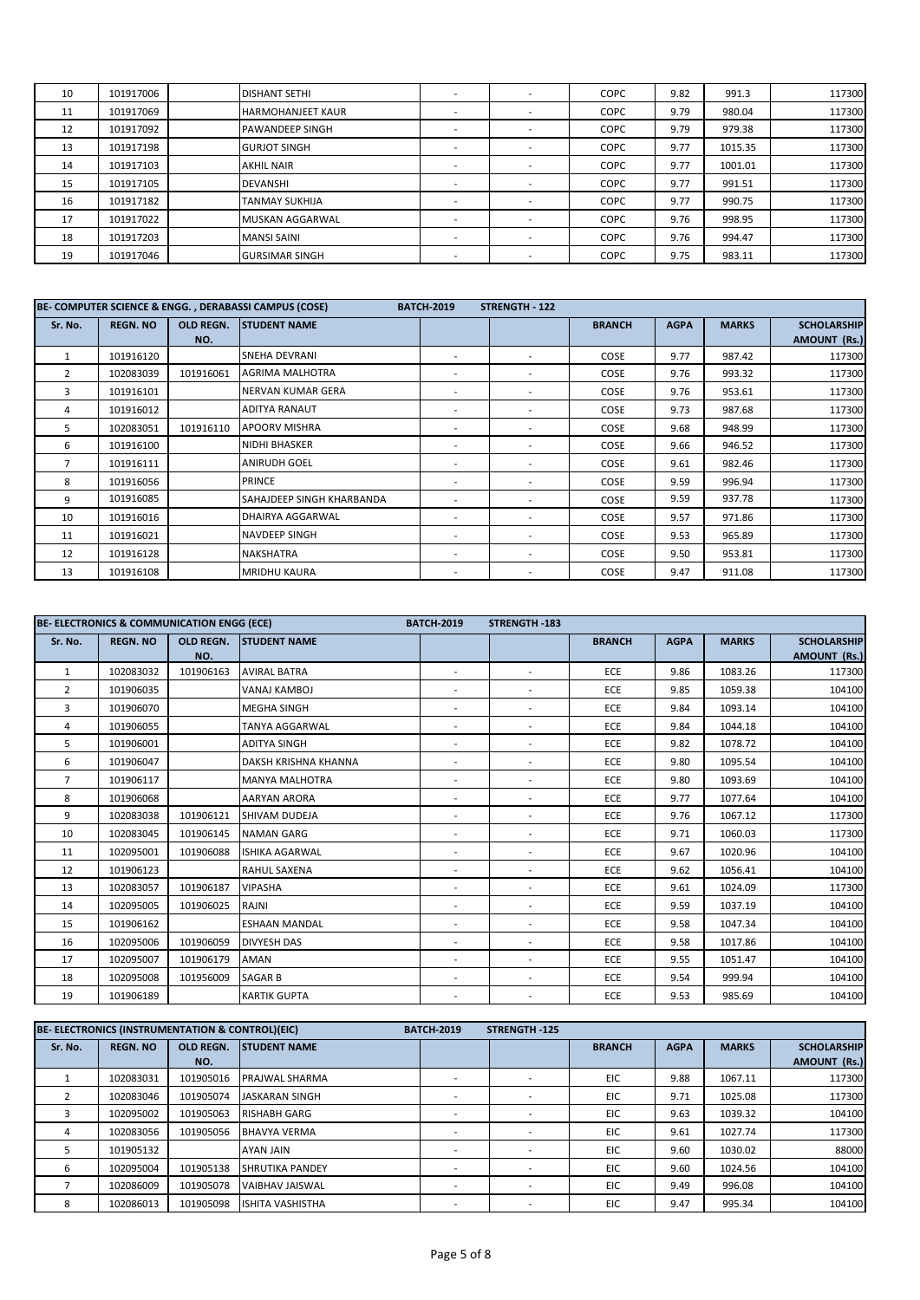| 10 | 101917006 | <b>DISHANT SETHI</b>     | $\sim$                   |                          | <b>COPC</b> | 9.82 | 991.3   | 117300 |
|----|-----------|--------------------------|--------------------------|--------------------------|-------------|------|---------|--------|
| 11 | 101917069 | <b>HARMOHANJEET KAUR</b> |                          |                          | COPC        | 9.79 | 980.04  | 117300 |
| 12 | 101917092 | <b>PAWANDEEP SINGH</b>   |                          | $\sim$                   | COPC        | 9.79 | 979.38  | 117300 |
| 13 | 101917198 | <b>GURJOT SINGH</b>      |                          |                          | COPC        | 9.77 | 1015.35 | 117300 |
| 14 | 101917103 | <b>AKHIL NAIR</b>        |                          |                          | COPC        | 9.77 | 1001.01 | 117300 |
| 15 | 101917105 | <b>DEVANSHI</b>          |                          | $\sim$                   | <b>COPC</b> | 9.77 | 991.51  | 117300 |
| 16 | 101917182 | <b>TANMAY SUKHIJA</b>    | $\sim$                   |                          | <b>COPC</b> | 9.77 | 990.75  | 117300 |
| 17 | 101917022 | <b>MUSKAN AGGARWAL</b>   | $\sim$                   |                          | <b>COPC</b> | 9.76 | 998.95  | 117300 |
| 18 | 101917203 | <b>MANSI SAINI</b>       | $\overline{\phantom{a}}$ | $\overline{\phantom{a}}$ | <b>COPC</b> | 9.76 | 994.47  | 117300 |
| 19 | 101917046 | <b>GURSIMAR SINGH</b>    |                          |                          | COPC        | 9.75 | 983.11  | 117300 |

|                |                 |                  | BE- COMPUTER SCIENCE & ENGG., DERABASSI CAMPUS (COSE)<br><b>BATCH-2019</b> | <b>STRENGTH - 122</b>    |                          |               |             |              |                     |
|----------------|-----------------|------------------|----------------------------------------------------------------------------|--------------------------|--------------------------|---------------|-------------|--------------|---------------------|
| Sr. No.        | <b>REGN. NO</b> | <b>OLD REGN.</b> | <b>STUDENT NAME</b>                                                        |                          |                          | <b>BRANCH</b> | <b>AGPA</b> | <b>MARKS</b> | <b>SCHOLARSHIP</b>  |
|                |                 | NO.              |                                                                            |                          |                          |               |             |              | <b>AMOUNT (Rs.)</b> |
|                | 101916120       |                  | <b>SNEHA DEVRANI</b>                                                       |                          |                          | COSE          | 9.77        | 987.42       | 117300              |
| $\overline{2}$ | 102083039       | 101916061        | <b>AGRIMA MALHOTRA</b>                                                     | $\overline{\phantom{a}}$ | $\overline{\phantom{a}}$ | COSE          | 9.76        | 993.32       | 117300              |
| 3              | 101916101       |                  | NERVAN KUMAR GERA                                                          | ۰                        | $\overline{\phantom{a}}$ | COSE          | 9.76        | 953.61       | 117300              |
| 4              | 101916012       |                  | <b>ADITYA RANAUT</b>                                                       |                          |                          | COSE          | 9.73        | 987.68       | 117300              |
| 5              | 102083051       | 101916110        | <b>APOORV MISHRA</b>                                                       | $\overline{\phantom{a}}$ | $\overline{\phantom{a}}$ | COSE          | 9.68        | 948.99       | 117300              |
| 6              | 101916100       |                  | <b>NIDHI BHASKER</b>                                                       |                          |                          | COSE          | 9.66        | 946.52       | 117300              |
| $\overline{7}$ | 101916111       |                  | <b>ANIRUDH GOEL</b>                                                        | ۰                        | $\overline{\phantom{a}}$ | COSE          | 9.61        | 982.46       | 117300              |
| 8              | 101916056       |                  | <b>PRINCE</b>                                                              | ۰                        | $\overline{\phantom{a}}$ | COSE          | 9.59        | 996.94       | 117300              |
| 9              | 101916085       |                  | <b>SAHAJDEEP SINGH KHARBANDA</b>                                           | ۰                        |                          | COSE          | 9.59        | 937.78       | 117300              |
| 10             | 101916016       |                  | DHAIRYA AGGARWAL                                                           | ۰                        | $\overline{\phantom{a}}$ | COSE          | 9.57        | 971.86       | 117300              |
| 11             | 101916021       |                  | NAVDEEP SINGH                                                              | ۰                        | $\overline{\phantom{a}}$ | COSE          | 9.53        | 965.89       | 117300              |
| 12             | 101916128       |                  | <b>NAKSHATRA</b>                                                           | $\overline{\phantom{a}}$ | $\overline{\phantom{a}}$ | COSE          | 9.50        | 953.81       | 117300              |
| 13             | 101916108       |                  | <b>MRIDHU KAURA</b>                                                        | ۰                        |                          | COSE          | 9.47        | 911.08       | 117300              |

|                | BE- ELECTRONICS & COMMUNICATION ENGG (ECE) |           |                       | <b>BATCH-2019</b>        | <b>STRENGTH-183</b>      |               |             |              |                    |
|----------------|--------------------------------------------|-----------|-----------------------|--------------------------|--------------------------|---------------|-------------|--------------|--------------------|
| Sr. No.        | <b>REGN. NO</b>                            | OLD REGN. | <b>STUDENT NAME</b>   |                          |                          | <b>BRANCH</b> | <b>AGPA</b> | <b>MARKS</b> | <b>SCHOLARSHIP</b> |
|                |                                            | NO.       |                       |                          |                          |               |             |              | AMOUNT (Rs.)       |
| $\mathbf{1}$   | 102083032                                  | 101906163 | <b>AVIRAL BATRA</b>   | $\overline{\phantom{a}}$ | ٠                        | ECE           | 9.86        | 1083.26      | 117300             |
| $\overline{2}$ | 101906035                                  |           | VANAJ KAMBOJ          | $\sim$                   | $\overline{\phantom{a}}$ | ECE           | 9.85        | 1059.38      | 104100             |
| 3              | 101906070                                  |           | <b>MEGHA SINGH</b>    | ٠                        | $\overline{\phantom{a}}$ | ECE           | 9.84        | 1093.14      | 104100             |
| 4              | 101906055                                  |           | <b>TANYA AGGARWAL</b> | ۰.                       | ٠                        | ECE           | 9.84        | 1044.18      | 104100             |
| 5.             | 101906001                                  |           | ADITYA SINGH          | $\overline{\phantom{a}}$ | ٠                        | ECE           | 9.82        | 1078.72      | 104100             |
| 6              | 101906047                                  |           | DAKSH KRISHNA KHANNA  | $\sim$                   | ٠                        | ECE           | 9.80        | 1095.54      | 104100             |
| $\overline{7}$ | 101906117                                  |           | <b>MANYA MALHOTRA</b> |                          | ٠                        | ECE           | 9.80        | 1093.69      | 104100             |
| 8              | 101906068                                  |           | <b>AARYAN ARORA</b>   | $\overline{\phantom{a}}$ | ٠                        | ECE           | 9.77        | 1077.64      | 104100             |
| 9              | 102083038                                  | 101906121 | SHIVAM DUDEJA         |                          | $\overline{\phantom{a}}$ | ECE           | 9.76        | 1067.12      | 117300             |
| 10             | 102083045                                  | 101906145 | <b>NAMAN GARG</b>     |                          | ٠                        | ECE           | 9.71        | 1060.03      | 117300             |
| 11             | 102095001                                  | 101906088 | <b>ISHIKA AGARWAL</b> | ٠                        | $\sim$                   | ECE           | 9.67        | 1020.96      | 104100             |
| 12             | 101906123                                  |           | <b>RAHUL SAXENA</b>   | ٠                        | ٠                        | ECE           | 9.62        | 1056.41      | 104100             |
| 13             | 102083057                                  | 101906187 | <b>VIPASHA</b>        | ٠.                       | ٠                        | ECE           | 9.61        | 1024.09      | 117300             |
| 14             | 102095005                                  | 101906025 | RAJNI                 | ٠                        | ٠                        | ECE           | 9.59        | 1037.19      | 104100             |
| 15             | 101906162                                  |           | <b>ESHAAN MANDAL</b>  | ٠                        | ٠                        | ECE           | 9.58        | 1047.34      | 104100             |
| 16             | 102095006                                  | 101906059 | <b>DIVYESH DAS</b>    | ٠.                       | ٠                        | ECE           | 9.58        | 1017.86      | 104100             |
| 17             | 102095007                                  | 101906179 | AMAN                  | $\sim$                   | $\sim$                   | ECE           | 9.55        | 1051.47      | 104100             |
| 18             | 102095008                                  | 101956009 | <b>SAGAR B</b>        | ۰.                       | ٠                        | ECE           | 9.54        | 999.94       | 104100             |
| 19             | 101906189                                  |           | <b>KARTIK GUPTA</b>   |                          |                          | ECE           | 9.53        | 985.69       | 104100             |

|         | <b>BE- ELECTRONICS (INSTRUMENTATION &amp; CONTROL)(EIC)</b> |                  |                         | <b>BATCH-2019</b> | <b>STRENGTH-125</b> |               |             |              |                     |
|---------|-------------------------------------------------------------|------------------|-------------------------|-------------------|---------------------|---------------|-------------|--------------|---------------------|
| Sr. No. | <b>REGN. NO</b>                                             | <b>OLD REGN.</b> | <b>STUDENT NAME</b>     |                   |                     | <b>BRANCH</b> | <b>AGPA</b> | <b>MARKS</b> | <b>SCHOLARSHIP</b>  |
|         |                                                             | NO.              |                         |                   |                     |               |             |              | <b>AMOUNT (Rs.)</b> |
|         | 102083031                                                   | 101905016        | <b>PRAJWAL SHARMA</b>   |                   |                     | EIC           | 9.88        | 1067.11      | 117300              |
|         | 102083046                                                   | 101905074        | <b>JASKARAN SINGH</b>   |                   |                     | EIC.          | 9.71        | 1025.08      | 117300              |
|         | 102095002                                                   | 101905063        | <b>RISHABH GARG</b>     |                   |                     | EIC.          | 9.63        | 1039.32      | 104100              |
| 4       | 102083056                                                   | 101905056        | <b>BHAVYA VERMA</b>     |                   |                     | EIC           | 9.61        | 1027.74      | 117300              |
|         | 101905132                                                   |                  | <b>AYAN JAIN</b>        |                   |                     | EIC.          | 9.60        | 1030.02      | 88000               |
| 6       | 102095004                                                   | 101905138        | <b>SHRUTIKA PANDEY</b>  | $\sim$            | $\sim$              | EIC           | 9.60        | 1024.56      | 104100              |
|         | 102086009                                                   | 101905078        | <b>VAIBHAV JAISWAL</b>  |                   | $\sim$              | EIC           | 9.49        | 996.08       | 104100              |
| 8       | 102086013                                                   | 101905098        | <b>ISHITA VASHISTHA</b> |                   |                     | EIC           | 9.47        | 995.34       | 104100              |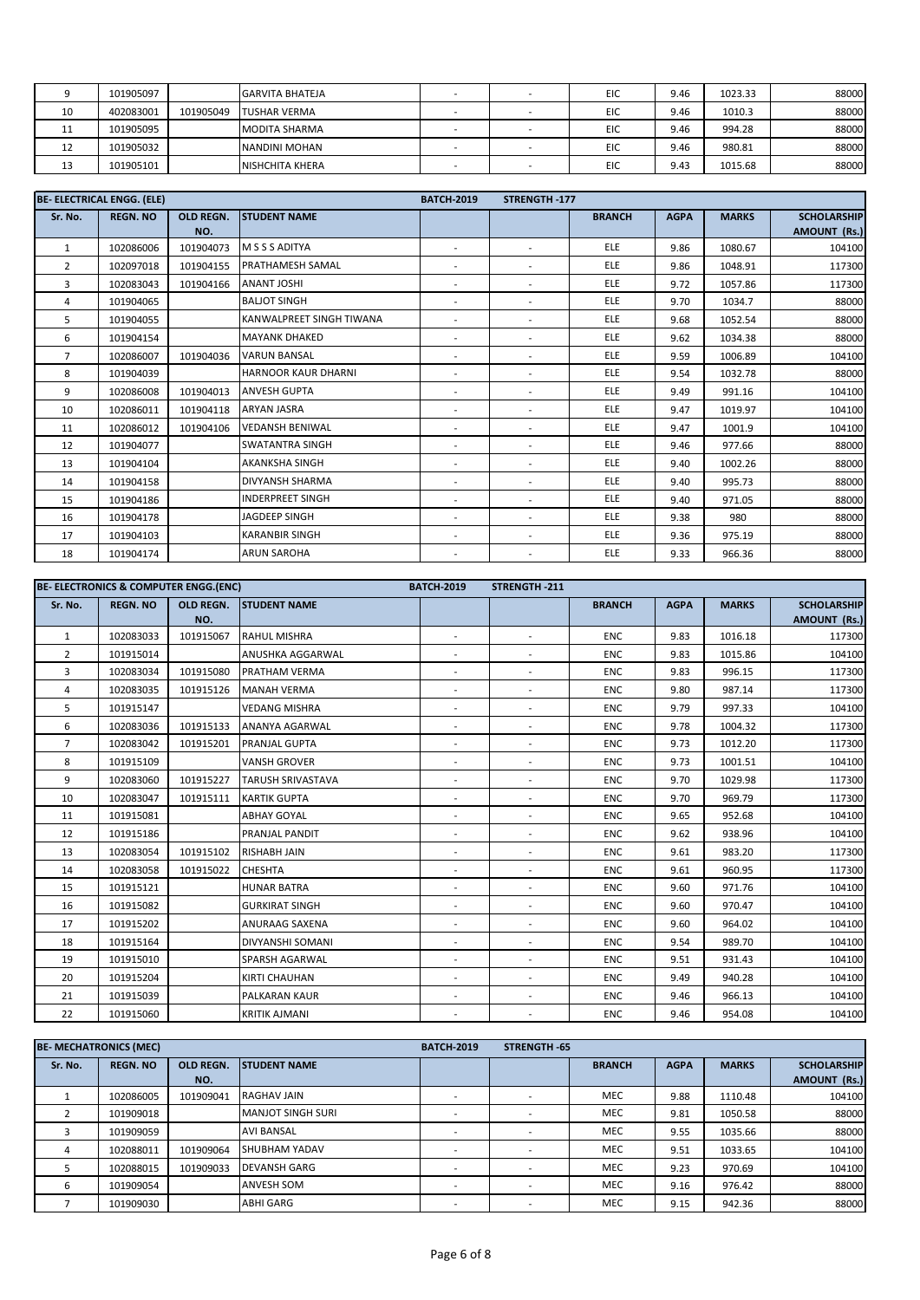|    | 101905097 |           | <b>GARVITA BHATEJA</b> |  | EIC | 9.46 | 1023.33 | 88000 |
|----|-----------|-----------|------------------------|--|-----|------|---------|-------|
| 10 | 402083001 | 101905049 | <b>TUSHAR VERMA</b>    |  | EIC | 9.46 | 1010.3  | 88000 |
| 11 | 101905095 |           | <b>MODITA SHARMA</b>   |  | EIC | 9.46 | 994.28  | 88000 |
| 12 | 101905032 |           | NANDINI MOHAN          |  | EIC | 9.46 | 980.81  | 88000 |
| 13 | 101905101 |           | <b>NISHCHITA KHERA</b> |  | EIC | 9.43 | 1015.68 | 88000 |

|                | <b>BE- ELECTRICAL ENGG. (ELE)</b> |                  |                            | <b>BATCH-2019</b>        | <b>STRENGTH-177</b>      |               |             |              |                                           |
|----------------|-----------------------------------|------------------|----------------------------|--------------------------|--------------------------|---------------|-------------|--------------|-------------------------------------------|
| Sr. No.        | <b>REGN. NO</b>                   | OLD REGN.<br>NO. | <b>STUDENT NAME</b>        |                          |                          | <b>BRANCH</b> | <b>AGPA</b> | <b>MARKS</b> | <b>SCHOLARSHIP</b><br><b>AMOUNT (Rs.)</b> |
| $\mathbf{1}$   | 102086006                         | 101904073        | M S S S ADITYA             | ٠                        | $\overline{\phantom{a}}$ | <b>ELE</b>    | 9.86        | 1080.67      | 104100                                    |
| $\overline{2}$ | 102097018                         | 101904155        | PRATHAMESH SAMAL           | ٠                        | ٠                        | <b>ELE</b>    | 9.86        | 1048.91      | 117300                                    |
| 3              | 102083043                         | 101904166        | <b>ANANT JOSHI</b>         | $\sim$                   | $\sim$                   | <b>ELE</b>    | 9.72        | 1057.86      | 117300                                    |
| 4              | 101904065                         |                  | <b>BALIOT SINGH</b>        | ٠                        | $\sim$                   | <b>ELE</b>    | 9.70        | 1034.7       | 88000                                     |
| 5              | 101904055                         |                  | KANWALPREET SINGH TIWANA   | ٠                        | $\overline{\phantom{a}}$ | <b>ELE</b>    | 9.68        | 1052.54      | 88000                                     |
| 6              | 101904154                         |                  | <b>MAYANK DHAKED</b>       | ٠                        | $\sim$                   | <b>ELE</b>    | 9.62        | 1034.38      | 88000                                     |
| $\overline{7}$ | 102086007                         | 101904036        | <b>VARUN BANSAL</b>        | ٠                        | ۰                        | <b>ELE</b>    | 9.59        | 1006.89      | 104100                                    |
| 8              | 101904039                         |                  | <b>HARNOOR KAUR DHARNI</b> | ٠                        | $\overline{\phantom{a}}$ | <b>ELE</b>    | 9.54        | 1032.78      | 88000                                     |
| 9              | 102086008                         | 101904013        | <b>ANVESH GUPTA</b>        | ٠                        | $\sim$                   | <b>ELE</b>    | 9.49        | 991.16       | 104100                                    |
| 10             | 102086011                         | 101904118        | <b>ARYAN JASRA</b>         | ٠                        | $\sim$                   | <b>ELE</b>    | 9.47        | 1019.97      | 104100                                    |
| 11             | 102086012                         | 101904106        | <b>VEDANSH BENIWAL</b>     | ۰                        | $\overline{\phantom{a}}$ | <b>ELE</b>    | 9.47        | 1001.9       | 104100                                    |
| 12             | 101904077                         |                  | <b>SWATANTRA SINGH</b>     | ٠                        | $\sim$                   | <b>ELE</b>    | 9.46        | 977.66       | 88000                                     |
| 13             | 101904104                         |                  | AKANKSHA SINGH             | ٠                        | $\overline{\phantom{a}}$ | <b>ELE</b>    | 9.40        | 1002.26      | 88000                                     |
| 14             | 101904158                         |                  | <b>DIVYANSH SHARMA</b>     | ۰                        | $\overline{\phantom{a}}$ | <b>ELE</b>    | 9.40        | 995.73       | 88000                                     |
| 15             | 101904186                         |                  | <b>INDERPREET SINGH</b>    | $\overline{\phantom{a}}$ | $\sim$                   | <b>ELE</b>    | 9.40        | 971.05       | 88000                                     |
| 16             | 101904178                         |                  | JAGDEEP SINGH              | ۰                        | $\sim$                   | <b>ELE</b>    | 9.38        | 980          | 88000                                     |
| 17             | 101904103                         |                  | <b>KARANBIR SINGH</b>      | ٠                        | $\overline{\phantom{a}}$ | <b>ELE</b>    | 9.36        | 975.19       | 88000                                     |
| 18             | 101904174                         |                  | <b>ARUN SAROHA</b>         |                          |                          | <b>ELE</b>    | 9.33        | 966.36       | 88000                                     |

|                | BE- ELECTRONICS & COMPUTER ENGG.(ENC) |           |                          | <b>BATCH-2019</b>        | STRENGTH-211             |               |             |              |                     |
|----------------|---------------------------------------|-----------|--------------------------|--------------------------|--------------------------|---------------|-------------|--------------|---------------------|
| Sr. No.        | <b>REGN. NO</b>                       | OLD REGN. | <b>STUDENT NAME</b>      |                          |                          | <b>BRANCH</b> | <b>AGPA</b> | <b>MARKS</b> | <b>SCHOLARSHIP</b>  |
|                |                                       | NO.       |                          |                          |                          |               |             |              | <b>AMOUNT (Rs.)</b> |
| $\mathbf{1}$   | 102083033                             | 101915067 | <b>RAHUL MISHRA</b>      | $\sim$                   | $\overline{\phantom{a}}$ | <b>ENC</b>    | 9.83        | 1016.18      | 117300              |
| $\overline{2}$ | 101915014                             |           | ANUSHKA AGGARWAL         | $\sim$                   | $\overline{\phantom{a}}$ | <b>ENC</b>    | 9.83        | 1015.86      | 104100              |
| 3              | 102083034                             | 101915080 | <b>PRATHAM VERMA</b>     | $\sim$                   | $\overline{\phantom{a}}$ | <b>ENC</b>    | 9.83        | 996.15       | 117300              |
| 4              | 102083035                             | 101915126 | <b>MANAH VERMA</b>       | $\sim$                   | $\overline{\phantom{a}}$ | <b>ENC</b>    | 9.80        | 987.14       | 117300              |
| 5              | 101915147                             |           | <b>VEDANG MISHRA</b>     |                          | ٠                        | <b>ENC</b>    | 9.79        | 997.33       | 104100              |
| 6              | 102083036                             | 101915133 | ANANYA AGARWAL           | $\sim$                   | $\overline{\phantom{a}}$ | <b>ENC</b>    | 9.78        | 1004.32      | 117300              |
| $\overline{7}$ | 102083042                             | 101915201 | <b>PRANJAL GUPTA</b>     | $\sim$                   | $\overline{\phantom{a}}$ | <b>ENC</b>    | 9.73        | 1012.20      | 117300              |
| 8              | 101915109                             |           | VANSH GROVER             |                          | $\overline{\phantom{a}}$ | <b>ENC</b>    | 9.73        | 1001.51      | 104100              |
| 9              | 102083060                             | 101915227 | <b>TARUSH SRIVASTAVA</b> |                          | ٠                        | <b>ENC</b>    | 9.70        | 1029.98      | 117300              |
| 10             | 102083047                             | 101915111 | <b>KARTIK GUPTA</b>      | $\overline{\phantom{a}}$ | ۰                        | <b>ENC</b>    | 9.70        | 969.79       | 117300              |
| 11             | 101915081                             |           | <b>ABHAY GOYAL</b>       |                          | ٠                        | <b>ENC</b>    | 9.65        | 952.68       | 104100              |
| 12             | 101915186                             |           | PRANJAL PANDIT           | ٠.                       | $\overline{\phantom{a}}$ | <b>ENC</b>    | 9.62        | 938.96       | 104100              |
| 13             | 102083054                             | 101915102 | <b>RISHABH JAIN</b>      | $\sim$                   | ٠                        | <b>ENC</b>    | 9.61        | 983.20       | 117300              |
| 14             | 102083058                             | 101915022 | <b>CHESHTA</b>           | $\sim$                   | ۰                        | <b>ENC</b>    | 9.61        | 960.95       | 117300              |
| 15             | 101915121                             |           | <b>HUNAR BATRA</b>       |                          | ٠                        | <b>ENC</b>    | 9.60        | 971.76       | 104100              |
| 16             | 101915082                             |           | <b>GURKIRAT SINGH</b>    | $\overline{\phantom{a}}$ | ۰                        | <b>ENC</b>    | 9.60        | 970.47       | 104100              |
| 17             | 101915202                             |           | ANURAAG SAXENA           | $\sim$                   | $\overline{\phantom{a}}$ | <b>ENC</b>    | 9.60        | 964.02       | 104100              |
| 18             | 101915164                             |           | <b>DIVYANSHI SOMANI</b>  | $\sim$                   | ٠                        | <b>ENC</b>    | 9.54        | 989.70       | 104100              |
| 19             | 101915010                             |           | SPARSH AGARWAL           | $\sim$                   | $\sim$                   | <b>ENC</b>    | 9.51        | 931.43       | 104100              |
| 20             | 101915204                             |           | <b>KIRTI CHAUHAN</b>     | $\sim$                   | $\sim$                   | <b>ENC</b>    | 9.49        | 940.28       | 104100              |
| 21             | 101915039                             |           | PALKARAN KAUR            | $\sim$                   | $\sim$                   | <b>ENC</b>    | 9.46        | 966.13       | 104100              |
| 22             | 101915060                             |           | <b>KRITIK AJMANI</b>     |                          |                          | ENC           | 9.46        | 954.08       | 104100              |

|         | <b>BE- MECHATRONICS (MEC)</b> |                         |                          | <b>BATCH-2019</b> | <b>STRENGTH-65</b> |               |             |              |                                           |
|---------|-------------------------------|-------------------------|--------------------------|-------------------|--------------------|---------------|-------------|--------------|-------------------------------------------|
| Sr. No. | <b>REGN. NO</b>               | <b>OLD REGN.</b><br>NO. | <b>STUDENT NAME</b>      |                   |                    | <b>BRANCH</b> | <b>AGPA</b> | <b>MARKS</b> | <b>SCHOLARSHIP</b><br><b>AMOUNT (Rs.)</b> |
|         | 102086005                     | 101909041               | <b>RAGHAV JAIN</b>       |                   |                    | <b>MEC</b>    | 9.88        | 1110.48      | 104100                                    |
|         | 101909018                     |                         | <b>MANJOT SINGH SURI</b> |                   |                    | <b>MEC</b>    | 9.81        | 1050.58      | 88000                                     |
|         | 101909059                     |                         | <b>AVI BANSAL</b>        |                   | ۰.                 | <b>MEC</b>    | 9.55        | 1035.66      | 88000                                     |
|         | 102088011                     | 101909064               | <b>SHUBHAM YADAV</b>     |                   | ٠                  | <b>MEC</b>    | 9.51        | 1033.65      | 104100                                    |
|         | 102088015                     | 101909033               | <b>DEVANSH GARG</b>      |                   |                    | <b>MEC</b>    | 9.23        | 970.69       | 104100                                    |
| 6       | 101909054                     |                         | <b>ANVESH SOM</b>        |                   |                    | <b>MEC</b>    | 9.16        | 976.42       | 88000                                     |
|         | 101909030                     |                         | <b>ABHI GARG</b>         |                   |                    | <b>MEC</b>    | 9.15        | 942.36       | 88000                                     |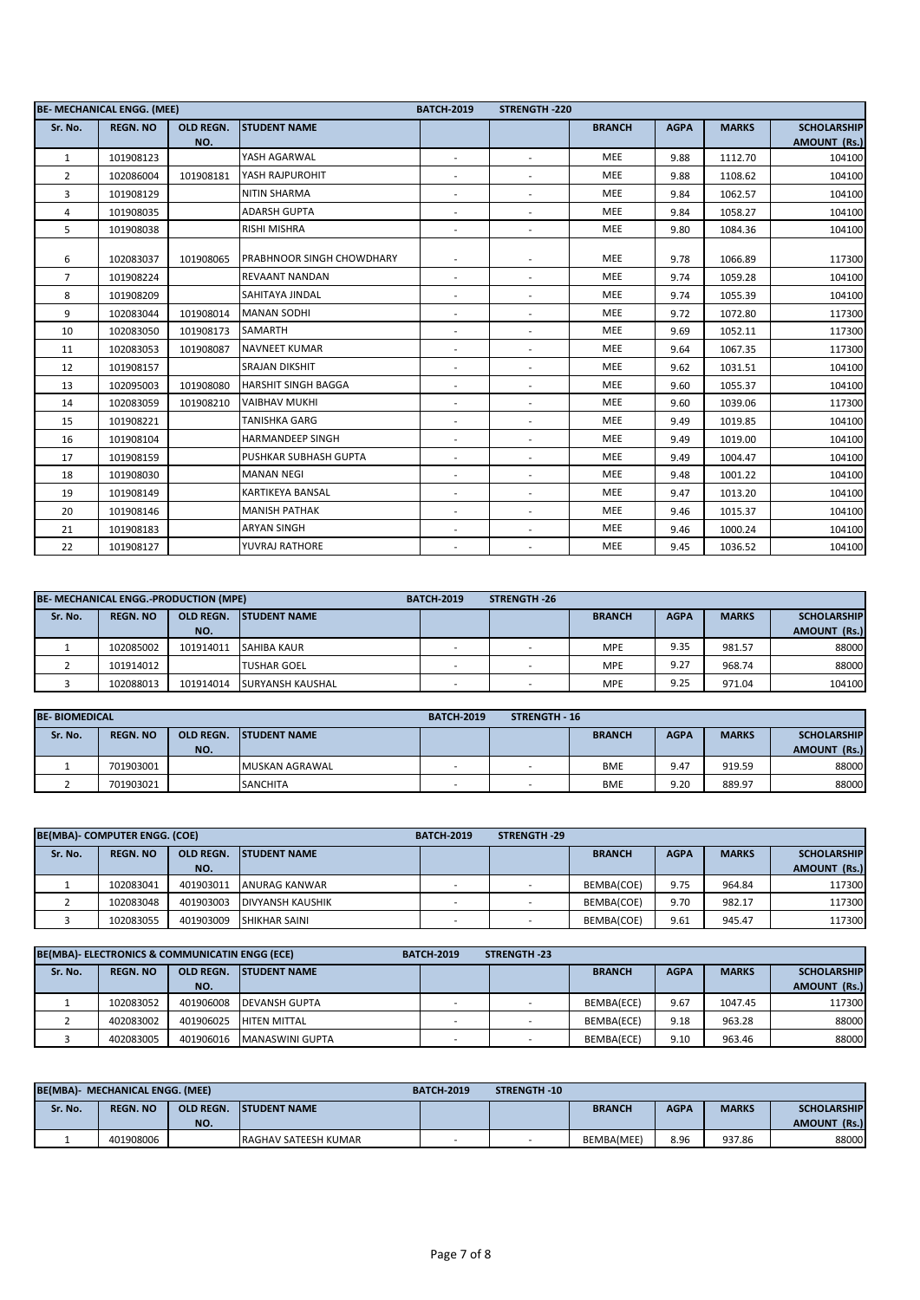|                | <b>BE- MECHANICAL ENGG. (MEE)</b> |                  |                                  | <b>BATCH-2019</b>        | <b>STRENGTH-220</b>      |               |             |              |                    |
|----------------|-----------------------------------|------------------|----------------------------------|--------------------------|--------------------------|---------------|-------------|--------------|--------------------|
| Sr. No.        | <b>REGN. NO</b>                   | <b>OLD REGN.</b> | <b>STUDENT NAME</b>              |                          |                          | <b>BRANCH</b> | <b>AGPA</b> | <b>MARKS</b> | <b>SCHOLARSHIP</b> |
|                |                                   | NO.              |                                  |                          |                          |               |             |              | AMOUNT (Rs.)       |
| $\mathbf{1}$   | 101908123                         |                  | YASH AGARWAL                     | $\overline{\phantom{a}}$ | $\sim$                   | <b>MEE</b>    | 9.88        | 1112.70      | 104100             |
| $\overline{2}$ | 102086004                         | 101908181        | YASH RAJPUROHIT                  | $\overline{\phantom{a}}$ | $\overline{\phantom{a}}$ | <b>MEE</b>    | 9.88        | 1108.62      | 104100             |
| 3              | 101908129                         |                  | NITIN SHARMA                     | $\overline{\phantom{a}}$ | $\sim$                   | MEE           | 9.84        | 1062.57      | 104100             |
| 4              | 101908035                         |                  | <b>ADARSH GUPTA</b>              | $\blacksquare$           | $\sim$                   | <b>MEE</b>    | 9.84        | 1058.27      | 104100             |
| 5              | 101908038                         |                  | <b>RISHI MISHRA</b>              | $\overline{\phantom{a}}$ | $\overline{\phantom{a}}$ | <b>MEE</b>    | 9.80        | 1084.36      | 104100             |
| 6              | 102083037                         | 101908065        | <b>PRABHNOOR SINGH CHOWDHARY</b> |                          | $\sim$                   | <b>MEE</b>    | 9.78        | 1066.89      | 117300             |
| $\overline{7}$ | 101908224                         |                  | <b>REVAANT NANDAN</b>            | ٠                        | $\sim$                   | <b>MEE</b>    | 9.74        | 1059.28      | 104100             |
| 8              | 101908209                         |                  | SAHITAYA JINDAL                  | $\overline{\phantom{a}}$ | $\overline{\phantom{a}}$ | <b>MEE</b>    | 9.74        | 1055.39      | 104100             |
| 9              | 102083044                         | 101908014        | <b>MANAN SODHI</b>               | $\blacksquare$           | $\sim$                   | <b>MEE</b>    | 9.72        | 1072.80      | 117300             |
| 10             | 102083050                         | 101908173        | SAMARTH                          | $\sim$                   | $\overline{\phantom{a}}$ | MEE           | 9.69        | 1052.11      | 117300             |
| 11             | 102083053                         | 101908087        | <b>NAVNEET KUMAR</b>             | $\overline{\phantom{a}}$ | $\sim$                   | <b>MEE</b>    | 9.64        | 1067.35      | 117300             |
| 12             | 101908157                         |                  | <b>SRAJAN DIKSHIT</b>            | $\overline{\phantom{a}}$ | $\sim$                   | <b>MEE</b>    | 9.62        | 1031.51      | 104100             |
| 13             | 102095003                         | 101908080        | <b>HARSHIT SINGH BAGGA</b>       | ÷.                       | $\sim$                   | <b>MEE</b>    | 9.60        | 1055.37      | 104100             |
| 14             | 102083059                         | 101908210        | <b>VAIBHAV MUKHI</b>             | $\sim$                   | $\sim$                   | MEE           | 9.60        | 1039.06      | 117300             |
| 15             | 101908221                         |                  | TANISHKA GARG                    | $\overline{\phantom{a}}$ | $\overline{\phantom{a}}$ | <b>MEE</b>    | 9.49        | 1019.85      | 104100             |
| 16             | 101908104                         |                  | <b>HARMANDEEP SINGH</b>          | $\overline{\phantom{a}}$ | $\overline{\phantom{a}}$ | <b>MEE</b>    | 9.49        | 1019.00      | 104100             |
| 17             | 101908159                         |                  | PUSHKAR SUBHASH GUPTA            | ٠                        | $\sim$                   | <b>MEE</b>    | 9.49        | 1004.47      | 104100             |
| 18             | 101908030                         |                  | <b>MANAN NEGI</b>                | $\sim$                   | $\sim$                   | <b>MEE</b>    | 9.48        | 1001.22      | 104100             |
| 19             | 101908149                         |                  | <b>KARTIKEYA BANSAL</b>          | ÷.                       | $\sim$                   | <b>MEE</b>    | 9.47        | 1013.20      | 104100             |
| 20             | 101908146                         |                  | <b>MANISH PATHAK</b>             | $\sim$                   | $\sim$                   | <b>MEE</b>    | 9.46        | 1015.37      | 104100             |
| 21             | 101908183                         |                  | <b>ARYAN SINGH</b>               | $\sim$                   | $\sim$                   | MEE           | 9.46        | 1000.24      | 104100             |
| 22             | 101908127                         |                  | YUVRAJ RATHORE                   | ٠                        | $\overline{\phantom{a}}$ | <b>MEE</b>    | 9.45        | 1036.52      | 104100             |

|         | BE- MECHANICAL ENGG.-PRODUCTION (MPE) |                  |                         | <b>BATCH-2019</b> | <b>STRENGTH-26</b> |               |             |              |                     |
|---------|---------------------------------------|------------------|-------------------------|-------------------|--------------------|---------------|-------------|--------------|---------------------|
| Sr. No. | <b>REGN. NO</b>                       | <b>OLD REGN.</b> | <b>ISTUDENT NAME</b>    |                   |                    | <b>BRANCH</b> | <b>AGPA</b> | <b>MARKS</b> | <b>SCHOLARSHIP</b>  |
|         |                                       | NO.              |                         |                   |                    |               |             |              | <b>AMOUNT (Rs.)</b> |
|         | 102085002                             | 101914011        | <b>SAHIBA KAUR</b>      |                   |                    | <b>MPE</b>    | 9.35        | 981.57       | 88000               |
|         | 101914012                             |                  | <b>TUSHAR GOEL</b>      |                   |                    | <b>MPE</b>    | 9.27        | 968.74       | 88000               |
|         | 102088013                             | 101914014        | <b>SURYANSH KAUSHAL</b> |                   | ۰                  | <b>MPE</b>    | 9.25        | 971.04       | 104100              |

| <b>BE-BIOMEDICAL</b> |                 |                  |                       | <b>BATCH-2019</b> | STRENGTH - 16            |               |             |              |                     |
|----------------------|-----------------|------------------|-----------------------|-------------------|--------------------------|---------------|-------------|--------------|---------------------|
| Sr. No.              | <b>REGN, NO</b> | <b>OLD REGN.</b> | <b>ISTUDENT NAME</b>  |                   |                          | <b>BRANCH</b> | <b>AGPA</b> | <b>MARKS</b> | <b>SCHOLARSHIP</b>  |
|                      |                 | NO.              |                       |                   |                          |               |             |              | <b>AMOUNT (Rs.)</b> |
|                      | 701903001       |                  | <b>MUSKAN AGRAWAL</b> |                   | $\overline{\phantom{a}}$ | <b>BME</b>    | 9.47        | 919.59       | 88000               |
|                      | 701903021       |                  | <b>SANCHITA</b>       |                   |                          | <b>BME</b>    | 9.20        | 889.97       | 88000               |

|         | BE(MBA)- COMPUTER ENGG. (COE) |                  |                         | <b>BATCH-2019</b> | STRENGTH-29 |               |             |              |                     |
|---------|-------------------------------|------------------|-------------------------|-------------------|-------------|---------------|-------------|--------------|---------------------|
| Sr. No. | <b>REGN. NO</b>               | <b>OLD REGN.</b> | <b>ISTUDENT NAME</b>    |                   |             | <b>BRANCH</b> | <b>AGPA</b> | <b>MARKS</b> | <b>SCHOLARSHIP</b>  |
|         |                               | NO.              |                         |                   |             |               |             |              | <b>AMOUNT (Rs.)</b> |
|         | 102083041                     | 401903011        | <b>ANURAG KANWAR</b>    |                   |             | BEMBA(COE)    | 9.75        | 964.84       | 117300              |
|         | 102083048                     | 401903003        | <b>DIVYANSH KAUSHIK</b> |                   |             | BEMBA(COE)    | 9.70        | 982.17       | 117300              |
|         | 102083055                     | 401903009        | <b>SHIKHAR SAINI</b>    |                   |             | BEMBA(COE)    | 9.61        | 945.47       | 117300              |

|         | BE(MBA)- ELECTRONICS & COMMUNICATIN ENGG (ECE) |                  |                        | <b>BATCH-2019</b> | <b>STRENGTH -23</b>      |               |             |              |                    |
|---------|------------------------------------------------|------------------|------------------------|-------------------|--------------------------|---------------|-------------|--------------|--------------------|
| Sr. No. | <b>REGN. NO</b>                                | <b>OLD REGN.</b> | <b>ISTUDENT NAME</b>   |                   |                          | <b>BRANCH</b> | <b>AGPA</b> | <b>MARKS</b> | <b>SCHOLARSHIP</b> |
|         |                                                | NO.              |                        |                   |                          |               |             |              | AMOUNT (Rs.)       |
|         | 102083052                                      | 401906008        | <b>DEVANSH GUPTA</b>   |                   | $\overline{\phantom{a}}$ | BEMBA(ECE)    | 9.67        | 1047.45      | 117300             |
|         | 402083002                                      | 401906025        | <b>HITEN MITTAL</b>    |                   |                          | BEMBA(ECE)    | 9.18        | 963.28       | 88000              |
|         | 402083005                                      | 401906016        | <b>MANASWINI GUPTA</b> |                   |                          | BEMBA(ECE)    | 9.10        | 963.46       | 88000              |

|         | BE(MBA)- MECHANICAL ENGG. (MEE)                            |  |                             | <b>BATCH-2019</b> | STRENGTH-10 |               |             |              |                    |
|---------|------------------------------------------------------------|--|-----------------------------|-------------------|-------------|---------------|-------------|--------------|--------------------|
| Sr. No. | <b>OLD REGN.</b><br><b>REGN. NO</b><br><b>STUDENT NAME</b> |  |                             |                   |             | <b>BRANCH</b> | <b>AGPA</b> | <b>MARKS</b> | <b>SCHOLARSHIP</b> |
| NO.     |                                                            |  |                             |                   |             |               |             |              | AMOUNT (Rs.)       |
|         | 401908006                                                  |  | <b>RAGHAV SATEESH KUMAR</b> |                   |             | BEMBA(MEE)    | 8.96        | 937.86       | 88000              |